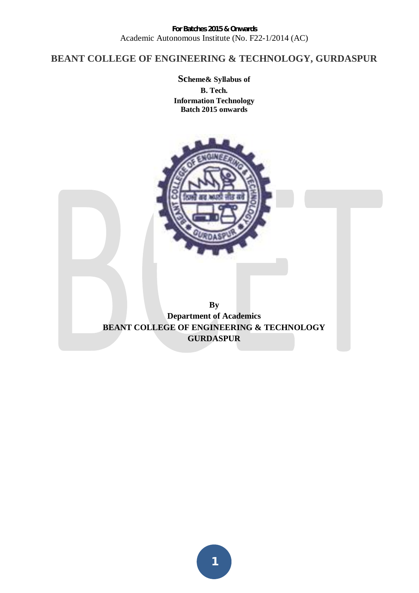# **BEANT COLLEGE OF ENGINEERING & TECHNOLOGY, GURDASPUR**

**Scheme& Syllabus of B. Tech. Information Technology Batch 2015 onwards** 



**By Department of Academics BEANT COLLEGE OF ENGINEERING & TECHNOLOGY GURDASPUR** 

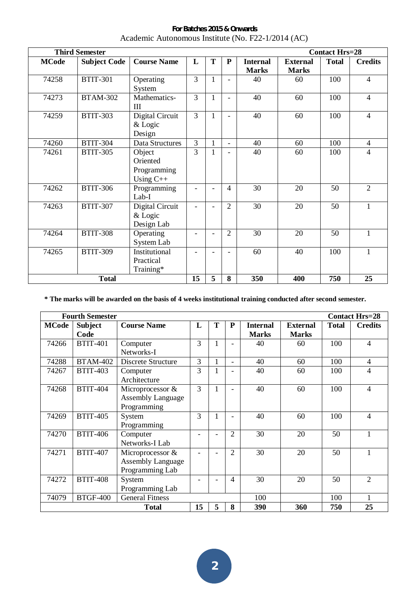|                                                   | <b>Third Semester</b><br><b>Contact Hrs=28</b> |                                                  |                |              |                          |                                 |                                 |              |                |
|---------------------------------------------------|------------------------------------------------|--------------------------------------------------|----------------|--------------|--------------------------|---------------------------------|---------------------------------|--------------|----------------|
| <b>MCode</b>                                      | <b>Subject Code</b>                            | <b>Course Name</b>                               | L              | T            | ${\bf P}$                | <b>Internal</b><br><b>Marks</b> | <b>External</b><br><b>Marks</b> | <b>Total</b> | <b>Credits</b> |
| 74258                                             | <b>BTIT-301</b>                                | Operating<br>System                              | $\overline{3}$ | 1            | $\overline{\phantom{0}}$ | 40                              | 60                              | 100          | $\overline{4}$ |
| 74273                                             | <b>BTAM-302</b>                                | Mathematics-<br>$\mathop{\mathrm{III}}\nolimits$ | $\overline{3}$ | $\mathbf{1}$ | $\overline{\phantom{0}}$ | 40                              | 60                              | 100          | $\overline{4}$ |
| 74259                                             | <b>BTIT-303</b>                                | Digital Circuit<br>& Logic<br>Design             | 3              | $\mathbf{1}$ |                          | 40                              | 60                              | 100          | $\overline{4}$ |
| 74260                                             | <b>BTIT-304</b>                                | Data Structures                                  | $\overline{3}$ | $\mathbf{1}$ | $\blacksquare$           | 40                              | 60                              | 100          | $\overline{4}$ |
| 74261                                             | <b>BTIT-305</b>                                | Object<br>Oriented<br>Programming<br>Using $C++$ | 3              | 1            | $\overline{a}$           | 40                              | 60                              | 100          | 4              |
| 74262                                             | <b>BTIT-306</b>                                | Programming<br>Lab-I                             |                |              | $\overline{4}$           | 30                              | 20                              | 50           | $\overline{2}$ |
| 74263                                             | <b>BTIT-307</b>                                | Digital Circuit<br>& Logic<br>Design Lab         |                |              | $\overline{2}$           | 30                              | 20                              | 50           | 1              |
| 74264                                             | <b>BTIT-308</b>                                | Operating<br>System Lab                          |                |              | $\overline{2}$           | 30                              | 20                              | 50           |                |
| 74265                                             | <b>BTIT-309</b>                                | Institutional<br>Practical<br>Training*          |                |              |                          | 60                              | 40                              | 100          | $\mathbf{1}$   |
| 15<br>5<br>750<br><b>Total</b><br>8<br>350<br>400 |                                                |                                                  |                |              |                          |                                 | 25                              |              |                |

**For Batches 2015 & Onwards**  Academic Autonomous Institute (No. F22-1/2014 (AC)

**\* The marks will be awarded on the basis of 4 weeks institutional training conducted after second semester.** 

|              | <b>Fourth Semester</b><br><b>Contact Hrs=28</b> |                          |    |   |                |                 |                 |              |                |  |
|--------------|-------------------------------------------------|--------------------------|----|---|----------------|-----------------|-----------------|--------------|----------------|--|
| <b>MCode</b> | <b>Subject</b>                                  | <b>Course Name</b>       | L  | T | ${\bf P}$      | <b>Internal</b> | <b>External</b> | <b>Total</b> | <b>Credits</b> |  |
|              | Code                                            |                          |    |   |                | <b>Marks</b>    | <b>Marks</b>    |              |                |  |
| 74266        | <b>BTIT-401</b>                                 | Computer                 | 3  |   |                | 40              | 60              | 100          | $\overline{4}$ |  |
|              |                                                 | Networks-I               |    |   |                |                 |                 |              |                |  |
| 74288        | <b>BTAM-402</b>                                 | Discrete Structure       | 3  |   |                | 40              | 60              | 100          | $\overline{4}$ |  |
| 74267        | <b>BTIT-403</b>                                 | Computer                 | 3  |   |                | 40              | 60              | 100          | 4              |  |
|              |                                                 | Architecture             |    |   |                |                 |                 |              |                |  |
| 74268        | <b>BTIT-404</b>                                 | Microprocessor &         | 3  | 1 |                | 40              | 60              | 100          | $\overline{4}$ |  |
|              |                                                 | <b>Assembly Language</b> |    |   |                |                 |                 |              |                |  |
|              |                                                 | Programming              |    |   |                |                 |                 |              |                |  |
| 74269        | <b>BTIT-405</b>                                 | System                   | 3  |   |                | 40              | 60              | 100          | $\overline{4}$ |  |
|              |                                                 | Programming              |    |   |                |                 |                 |              |                |  |
| 74270        | <b>BTIT-406</b>                                 | Computer                 |    |   | $\overline{2}$ | 30              | 20              | 50           | $\mathbf{1}$   |  |
|              |                                                 | Networks-I Lab           |    |   |                |                 |                 |              |                |  |
| 74271        | <b>BTIT-407</b>                                 | Microprocessor &         |    |   | $\overline{2}$ | 30              | 20              | 50           | $\mathbf{1}$   |  |
|              |                                                 | <b>Assembly Language</b> |    |   |                |                 |                 |              |                |  |
|              |                                                 | Programming Lab          |    |   |                |                 |                 |              |                |  |
| 74272        | <b>BTIT-408</b>                                 | System                   |    |   | 4              | 30              | 20              | 50           | $\overline{2}$ |  |
|              |                                                 | Programming Lab          |    |   |                |                 |                 |              |                |  |
| 74079        | <b>BTGF-400</b>                                 | <b>General Fitness</b>   |    |   |                | 100             |                 | 100          |                |  |
|              |                                                 | <b>Total</b>             | 15 | 5 | 8              | 390             | 360             | 750          | 25             |  |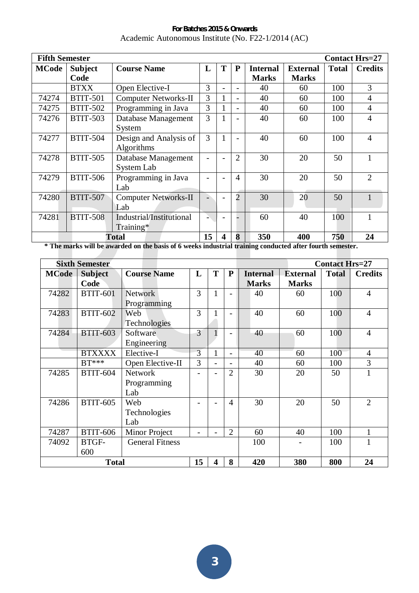**For Batches 2015 & Onwards**  Academic Autonomous Institute (No. F22-1/2014 (AC)

|              | <b>Fifth Semester</b><br><b>Contact Hrs=27</b> |                             |    |   |                          |                 |                 |              |                |  |
|--------------|------------------------------------------------|-----------------------------|----|---|--------------------------|-----------------|-----------------|--------------|----------------|--|
| <b>MCode</b> | <b>Subject</b>                                 | <b>Course Name</b>          | L  | T | P                        | <b>Internal</b> | <b>External</b> | <b>Total</b> | <b>Credits</b> |  |
|              | Code                                           |                             |    |   |                          | <b>Marks</b>    | <b>Marks</b>    |              |                |  |
|              | <b>BTXX</b>                                    | Open Elective-I             | 3  |   |                          | 40              | 60              | 100          | 3              |  |
| 74274        | <b>BTIT-501</b>                                | <b>Computer Networks-II</b> | 3  |   |                          | 40              | 60              | 100          | $\overline{A}$ |  |
| 74275        | <b>BTIT-502</b>                                | Programming in Java         | 3  | 1 | $\overline{\phantom{0}}$ | 40              | 60              | 100          | $\overline{4}$ |  |
| 74276        | <b>BTIT-503</b>                                | Database Management         | 3  | 1 |                          | 40              | 60              | 100          | $\overline{4}$ |  |
|              |                                                | System                      |    |   |                          |                 |                 |              |                |  |
| 74277        | <b>BTIT-504</b>                                | Design and Analysis of      | 3  |   |                          | 40              | 60              | 100          | $\overline{A}$ |  |
|              |                                                | Algorithms                  |    |   |                          |                 |                 |              |                |  |
| 74278        | <b>BTIT-505</b>                                | Database Management         |    |   | $\overline{2}$           | 30              | 20              | 50           |                |  |
|              |                                                | System Lab                  |    |   |                          |                 |                 |              |                |  |
| 74279        | <b>BTIT-506</b>                                | Programming in Java         |    |   | $\overline{4}$           | 30              | 20              | 50           | $\overline{2}$ |  |
|              |                                                | Lab                         |    |   |                          |                 |                 |              |                |  |
| 74280        | <b>BTIT-507</b>                                | <b>Computer Networks-II</b> |    |   | $\overline{2}$           | 30              | 20              | 50           |                |  |
|              |                                                | Lab                         |    |   |                          |                 |                 |              |                |  |
| 74281        | <b>BTIT-508</b>                                | Industrial/Institutional    |    |   |                          | 60              | 40              | 100          |                |  |
|              |                                                | $Training*$                 |    |   |                          |                 |                 |              |                |  |
|              |                                                | <b>Total</b>                | 15 | 4 | 8                        | 350             | 400             | 750          | 24             |  |

**\* The marks will be awarded on the basis of 6 weeks industrial training conducted after fourth semester.** 

|              | <b>Sixth Semester</b> |                        |                |   |                | <b>Contact Hrs=27</b> |                 |              |                |
|--------------|-----------------------|------------------------|----------------|---|----------------|-----------------------|-----------------|--------------|----------------|
| <b>MCode</b> | <b>Subject</b>        | <b>Course Name</b>     | L              | T | ${\bf P}$      | <b>Internal</b>       | <b>External</b> | <b>Total</b> | <b>Credits</b> |
|              | Code                  |                        |                |   |                | <b>Marks</b>          | <b>Marks</b>    |              |                |
| 74282        | <b>BTIT-601</b>       | <b>Network</b>         | 3              |   |                | 40                    | 60              | 100          | $\overline{4}$ |
|              |                       | Programming            |                |   |                |                       |                 |              |                |
| 74283        | <b>BTIT-602</b>       | Web                    | 3              |   |                | 40                    | 60              | 100          | $\overline{4}$ |
|              |                       | Technologies           |                |   |                |                       |                 |              |                |
| 74284        | <b>BTIT-603</b>       | Software               | 3              |   |                | 40                    | 60              | 100          | $\overline{4}$ |
|              |                       | Engineering            |                |   |                |                       |                 |              |                |
|              | <b>BTXXXX</b>         | Elective-I             | $\overline{3}$ |   | -              | 40                    | 60              | 100          | $\overline{4}$ |
|              | $BT***$               | Open Elective-II       | 3              |   | $\overline{a}$ | 40                    | 60              | 100          | 3              |
| 74285        | <b>BTIT-604</b>       | <b>Network</b>         |                |   | $\overline{2}$ | 30                    | 20              | 50           | $\mathbf{1}$   |
|              |                       | Programming            |                |   |                |                       |                 |              |                |
|              |                       | Lab                    |                |   |                |                       |                 |              |                |
| 74286        | <b>BTIT-605</b>       | Web                    |                |   | $\overline{4}$ | 30                    | 20              | 50           | $\overline{2}$ |
|              |                       | Technologies           |                |   |                |                       |                 |              |                |
|              |                       | Lab                    |                |   |                |                       |                 |              |                |
| 74287        | <b>BTIT-606</b>       | Minor Project          |                |   | $\overline{2}$ | 60                    | 40              | 100          | 1              |
| 74092        | BTGF-                 | <b>General Fitness</b> |                |   |                | 100                   |                 | 100          | $\mathbf{1}$   |
|              | 600                   |                        |                |   |                |                       |                 |              |                |
|              | <b>Total</b>          |                        | 15             | 4 | 8              | 420                   | 380             | 800          | 24             |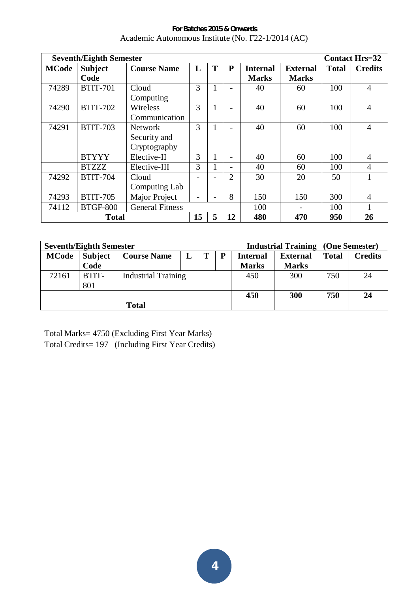**For Batches 2015 & Onwards**  Academic Autonomous Institute (No. F22-1/2014 (AC)

|              | <b>Seventh/Eighth Semester</b><br><b>Contact Hrs=32</b> |                        |    |   |                |                 |                 |              |                |  |
|--------------|---------------------------------------------------------|------------------------|----|---|----------------|-----------------|-----------------|--------------|----------------|--|
| <b>MCode</b> | <b>Subject</b>                                          | <b>Course Name</b>     | L  | T | P              | <b>Internal</b> | <b>External</b> | <b>Total</b> | <b>Credits</b> |  |
|              | Code                                                    |                        |    |   |                | <b>Marks</b>    | <b>Marks</b>    |              |                |  |
| 74289        | <b>BTIT-701</b>                                         | Cloud                  | 3  |   |                | 40              | 60              | 100          | $\overline{4}$ |  |
|              |                                                         | Computing              |    |   |                |                 |                 |              |                |  |
| 74290        | <b>BTIT-702</b>                                         | Wireless               | 3  |   |                | 40              | 60              | 100          | $\overline{4}$ |  |
|              |                                                         | Communication          |    |   |                |                 |                 |              |                |  |
| 74291        | <b>BTIT-703</b>                                         | <b>Network</b>         | 3  |   |                | 40              | 60              | 100          | $\overline{4}$ |  |
|              |                                                         | Security and           |    |   |                |                 |                 |              |                |  |
|              |                                                         | Cryptography           |    |   |                |                 |                 |              |                |  |
|              | <b>BTYYY</b>                                            | Elective-II            | 3  |   |                | 40              | 60              | 100          | $\overline{4}$ |  |
|              | <b>BTZZZ</b>                                            | Elective-III           | 3  |   |                | 40              | 60              | 100          | $\overline{4}$ |  |
| 74292        | <b>BTIT-704</b>                                         | Cloud                  |    |   | $\overline{2}$ | 30              | 20              | 50           | 1              |  |
|              |                                                         | Computing Lab          |    |   |                |                 |                 |              |                |  |
| 74293        | <b>BTIT-705</b>                                         | <b>Major Project</b>   |    |   | 8              | 150             | 150             | 300          | $\overline{4}$ |  |
| 74112        | <b>BTGF-800</b>                                         | <b>General Fitness</b> |    |   |                | 100             |                 | 100          | 1              |  |
|              | <b>Total</b>                                            |                        | 15 | 5 | 12             | 480             | 470             | 950          | 26             |  |

| <b>Seventh/Eighth Semester</b> |                |                    |                            |   |     | <b>Industrial Training (One Semester)</b> |                 |              |                |
|--------------------------------|----------------|--------------------|----------------------------|---|-----|-------------------------------------------|-----------------|--------------|----------------|
| <b>MCode</b>                   | <b>Subject</b> | <b>Course Name</b> | L                          | т | P   | <b>Internal</b>                           | <b>External</b> | <b>Total</b> | <b>Credits</b> |
|                                | Code           |                    |                            |   |     | <b>Marks</b>                              | <b>Marks</b>    |              |                |
| 72161                          | BTIT-          |                    | <b>Industrial Training</b> |   |     | 450                                       | 300             | 750          | 24             |
|                                | 801            |                    |                            |   |     |                                           |                 |              |                |
|                                |                |                    |                            |   | 450 | 300                                       | 750             | 24           |                |
| <b>Total</b>                   |                |                    |                            |   |     |                                           |                 |              |                |

Total Marks= 4750 (Excluding First Year Marks) Total Credits= 197 (Including First Year Credits)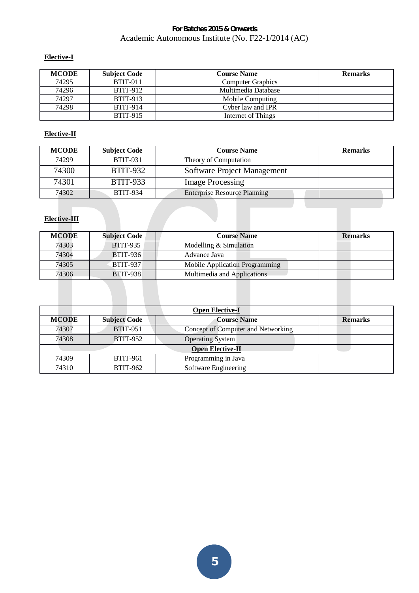# **Elective-I**

| <b>MCODE</b> | <b>Subject Code</b> | <b>Course Name</b>       | <b>Remarks</b> |
|--------------|---------------------|--------------------------|----------------|
| 74295        | <b>BTIT-911</b>     | <b>Computer Graphics</b> |                |
| 74296        | <b>BTIT-912</b>     | Multimedia Database      |                |
| 74297        | <b>BTIT-913</b>     | Mobile Computing         |                |
| 74298        | <b>BTIT-914</b>     | Cyber law and IPR        |                |
|              | <b>BTIT-915</b>     | Internet of Things       |                |

## **Elective-II**

| <b>MCODE</b> | <b>Subject Code</b> | <b>Course Name</b>                  | <b>Remarks</b> |
|--------------|---------------------|-------------------------------------|----------------|
| 74299        | <b>BTIT-931</b>     | Theory of Computation               |                |
| 74300        | <b>BTIT-932</b>     | Software Project Management         |                |
| 74301        | <b>BTIT-933</b>     | <b>Image Processing</b>             |                |
| 74302        | <b>BTIT-934</b>     | <b>Enterprise Resource Planning</b> |                |

## **Elective-III**

| <b>MCODE</b> | <b>Subject Code</b> | <b>Course Name</b>             | <b>Remarks</b> |
|--------------|---------------------|--------------------------------|----------------|
| 74303        | <b>BTIT-935</b>     | Modelling $&$ Simulation       |                |
| 74304        | <b>BTIT-936</b>     | Advance Java                   |                |
| 74305        | <b>BTIT-937</b>     | Mobile Application Programming |                |
| 74306        | <b>BTIT-938</b>     | Multimedia and Applications    |                |

|              | <b>Open Elective-I</b> |                                    |                |  |  |  |  |  |
|--------------|------------------------|------------------------------------|----------------|--|--|--|--|--|
| <b>MCODE</b> | <b>Subject Code</b>    | <b>Course Name</b>                 | <b>Remarks</b> |  |  |  |  |  |
| 74307        | <b>BTIT-951</b>        | Concept of Computer and Networking |                |  |  |  |  |  |
| 74308        | <b>BTIT-952</b>        | <b>Operating System</b>            |                |  |  |  |  |  |
|              |                        | <b>Open Elective-II</b>            |                |  |  |  |  |  |
| 74309        | <b>BTIT-961</b>        | Programming in Java                |                |  |  |  |  |  |
| 74310        | <b>BTIT-962</b>        | Software Engineering               |                |  |  |  |  |  |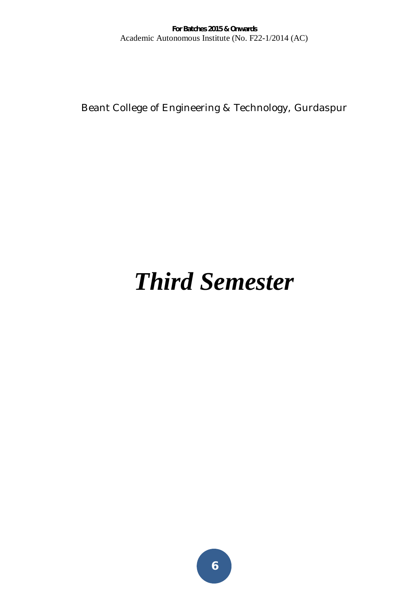Beant College of Engineering & Technology, Gurdaspur

# *Third Semester*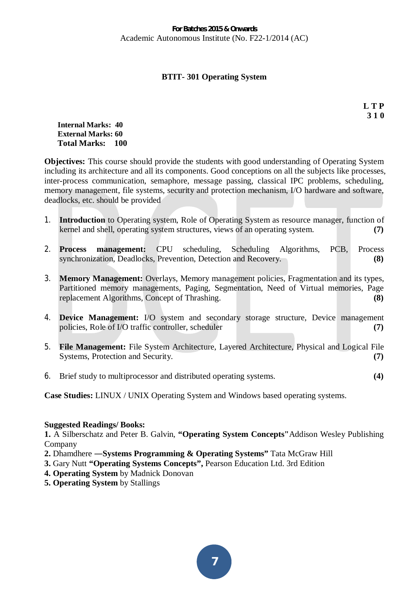# **BTIT- 301 Operating System**

**L T P 3 1 0** 

#### **Internal Marks: 40 External Marks: 60 Total Marks: 100**

**Objectives:** This course should provide the students with good understanding of Operating System including its architecture and all its components. Good conceptions on all the subjects like processes, inter-process communication, semaphore, message passing, classical IPC problems, scheduling, memory management, file systems, security and protection mechanism, I/O hardware and software, deadlocks, etc. should be provided

- 1. **Introduction** to Operating system, Role of Operating System as resource manager, function of kernel and shell, operating system structures, views of an operating system. **(7)**
- 2. **Process management:** CPU scheduling, Scheduling Algorithms, PCB, Process synchronization, Deadlocks, Prevention, Detection and Recovery. **(8)**
- 3. **Memory Management:** Overlays, Memory management policies, Fragmentation and its types, Partitioned memory managements, Paging, Segmentation, Need of Virtual memories, Page replacement Algorithms, Concept of Thrashing. **(8)**
- 4. **Device Management:** I/O system and secondary storage structure, Device management policies, Role of I/O traffic controller, scheduler **(7)** (7)
- 5. **File Management:** File System Architecture, Layered Architecture, Physical and Logical File Systems, Protection and Security. **(7)** (7)
- 6. Brief study to multiprocessor and distributed operating systems. **(4)**

**Case Studies:** LINUX / UNIX Operating System and Windows based operating systems.

## **Suggested Readings/ Books:**

**1.** A Silberschatz and Peter B. Galvin, **"Operating System Concepts"**Addison Wesley Publishing Company

- **2.** Dhamdhere Systems Programming & Operating Systems" Tata McGraw Hill
- **3.** Gary Nutt **"Operating Systems Concepts",** Pearson Education Ltd. 3rd Edition
- **4. Operating System** by Madnick Donovan
- **5. Operating System** by Stallings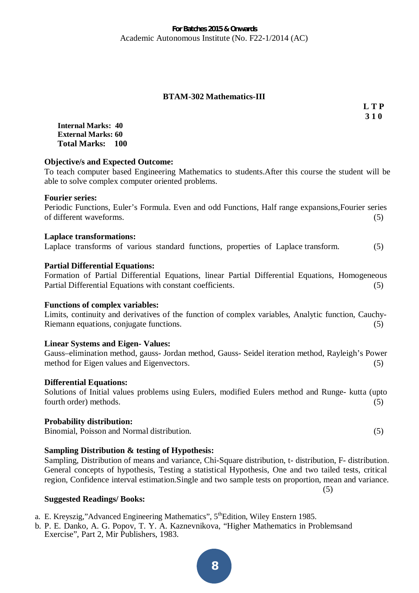## **BTAM-302 Mathematics-III**

**L T P 3 1 0** 

**Internal Marks: 40 External Marks: 60 Total Marks: 100** 

## **Objective/s and Expected Outcome:**

To teach computer based Engineering Mathematics to students.After this course the student will be able to solve complex computer oriented problems.

## **Fourier series:**

Periodic Functions, Euler's Formula. Even and odd Functions, Half range expansions,Fourier series of different waveforms. (5)

## **Laplace transformations:**

Laplace transforms of various standard functions, properties of Laplace transform. (5)

## **Partial Differential Equations:**

Formation of Partial Differential Equations, linear Partial Differential Equations, Homogeneous Partial Differential Equations with constant coefficients. (5)

#### **Functions of complex variables:**

Limits, continuity and derivatives of the function of complex variables, Analytic function, Cauchy-Riemann equations, conjugate functions. (5)

#### **Linear Systems and Eigen- Values:**

Gauss–elimination method, gauss- Jordan method, Gauss- Seidel iteration method, Rayleigh's Power method for Eigen values and Eigenvectors. (5)

#### **Differential Equations:**

Solutions of Initial values problems using Eulers, modified Eulers method and Runge- kutta (upto fourth order) methods. (5)

#### **Probability distribution:**

Binomial, Poisson and Normal distribution.(5)

## **Sampling Distribution & testing of Hypothesis:**

Sampling, Distribution of means and variance, Chi-Square distribution, t- distribution, F- distribution. General concepts of hypothesis, Testing a statistical Hypothesis, One and two tailed tests, critical region, Confidence interval estimation.Single and two sample tests on proportion, mean and variance. (5)

#### **Suggested Readings/ Books:**

- a. E. Kreyszig,"Advanced Engineering Mathematics", 5<sup>th</sup>Edition, Wiley Enstern 1985.
- b. P. E. Danko, A. G. Popov, T. Y. A. Kaznevnikova, "Higher Mathematics in Problemsand Exercise", Part 2, Mir Publishers, 1983.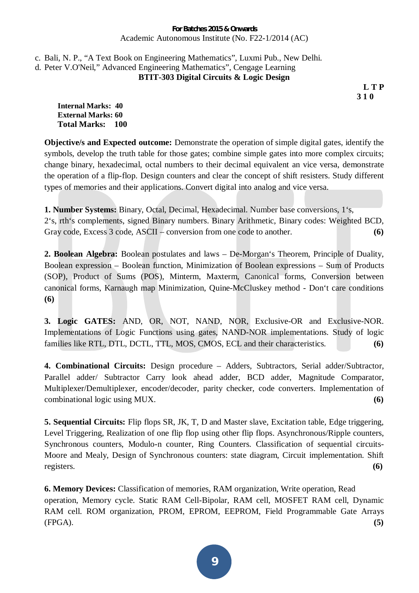# c. Bali, N. P., "A Text Book on Engineering Mathematics", Luxmi Pub., New Delhi. d. Peter V.O'Neil," Advanced Engineering Mathematics", Cengage Learning **BTIT-303 Digital Circuits & Logic Design**

**L T P 3 1 0** 

**Internal Marks: 40 External Marks: 60 Total Marks: 100** 

**Objective/s and Expected outcome:** Demonstrate the operation of simple digital gates, identify the symbols, develop the truth table for those gates; combine simple gates into more complex circuits; change binary, hexadecimal, octal numbers to their decimal equivalent an vice versa, demonstrate the operation of a flip-flop. Design counters and clear the concept of shift resisters. Study different types of memories and their applications. Convert digital into analog and vice versa.

**1. Number Systems:** Binary, Octal, Decimal, Hexadecimal. Number base conversions, 1's, 2's, rth's complements, signed Binary numbers. Binary Arithmetic, Binary codes: Weighted BCD, Gray code, Excess 3 code, ASCII – conversion from one code to another. **(6)** 

**2. Boolean Algebra:** Boolean postulates and laws – De-Morgan's Theorem, Principle of Duality, Boolean expression – Boolean function, Minimization of Boolean expressions – Sum of Products (SOP), Product of Sums (POS), Minterm, Maxterm, Canonical forms, Conversion between canonical forms, Karnaugh map Minimization, Quine-McCluskey method - Don't care conditions **(6)**

**3. Logic GATES:** AND, OR, NOT, NAND, NOR, Exclusive-OR and Exclusive-NOR. Implementations of Logic Functions using gates, NAND-NOR implementations. Study of logic families like RTL, DTL, DCTL, TTL, MOS, CMOS, ECL and their characteristics. **(6)**

**4. Combinational Circuits:** Design procedure – Adders, Subtractors, Serial adder/Subtractor, Parallel adder/ Subtractor Carry look ahead adder, BCD adder, Magnitude Comparator, Multiplexer/Demultiplexer, encoder/decoder, parity checker, code converters. Implementation of combinational logic using MUX. **(6)**

**5. Sequential Circuits:** Flip flops SR, JK, T, D and Master slave, Excitation table, Edge triggering, Level Triggering, Realization of one flip flop using other flip flops. Asynchronous/Ripple counters, Synchronous counters, Modulo-n counter, Ring Counters. Classification of sequential circuits-Moore and Mealy, Design of Synchronous counters: state diagram, Circuit implementation. Shift registers. **(6)**

**6. Memory Devices:** Classification of memories, RAM organization, Write operation, Read operation, Memory cycle. Static RAM Cell-Bipolar, RAM cell, MOSFET RAM cell, Dynamic RAM cell. ROM organization, PROM, EPROM, EEPROM, Field Programmable Gate Arrays (FPGA). **(5)**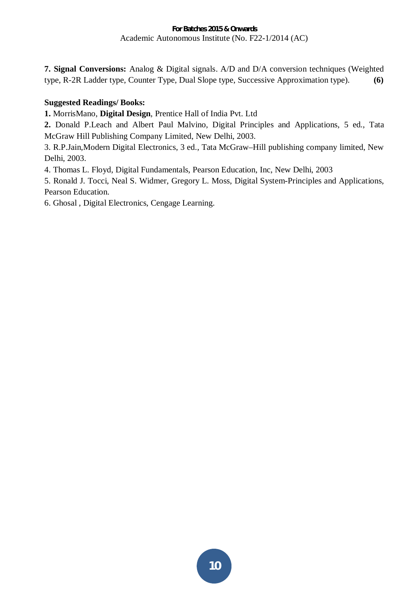**7. Signal Conversions:** Analog & Digital signals. A/D and D/A conversion techniques (Weighted type, R-2R Ladder type, Counter Type, Dual Slope type, Successive Approximation type). **(6)**

# **Suggested Readings/ Books:**

**1.** MorrisMano, **Digital Design**, Prentice Hall of India Pvt. Ltd

**2.** Donald P.Leach and Albert Paul Malvino, Digital Principles and Applications, 5 ed., Tata McGraw Hill Publishing Company Limited, New Delhi, 2003.

3. R.P.Jain,Modern Digital Electronics, 3 ed., Tata McGraw–Hill publishing company limited, New Delhi, 2003.

4. Thomas L. Floyd, Digital Fundamentals, Pearson Education, Inc, New Delhi, 2003

5. Ronald J. Tocci, Neal S. Widmer, Gregory L. Moss, Digital System-Principles and Applications, Pearson Education.

6. Ghosal , Digital Electronics, Cengage Learning.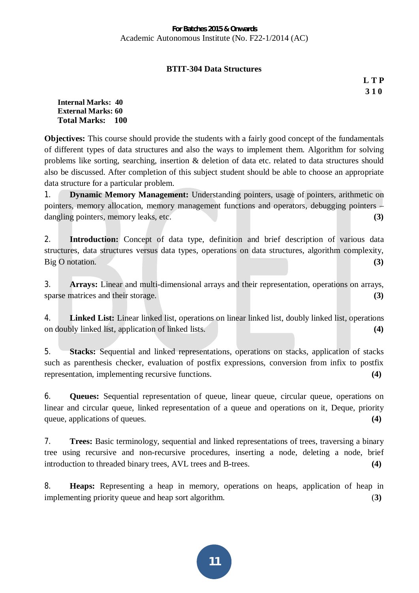# **BTIT-304 Data Structures**

**L T P 3 1 0** 

**Internal Marks: 40 External Marks: 60 Total Marks: 100** 

**Objectives:** This course should provide the students with a fairly good concept of the fundamentals of different types of data structures and also the ways to implement them. Algorithm for solving problems like sorting, searching, insertion & deletion of data etc. related to data structures should also be discussed. After completion of this subject student should be able to choose an appropriate data structure for a particular problem.

1. **Dynamic Memory Management:** Understanding pointers, usage of pointers, arithmetic on pointers, memory allocation, memory management functions and operators, debugging pointers – dangling pointers, memory leaks, etc. **(3)**  $(3)$ 

2. **Introduction:** Concept of data type, definition and brief description of various data structures, data structures versus data types, operations on data structures, algorithm complexity, Big O notation. **(3)**

3. **Arrays:** Linear and multi-dimensional arrays and their representation, operations on arrays, sparse matrices and their storage. **(3)**  $(3)$ 

4. **Linked List:** Linear linked list, operations on linear linked list, doubly linked list, operations on doubly linked list, application of linked lists. **(4)**

5. **Stacks:** Sequential and linked representations, operations on stacks, application of stacks such as parenthesis checker, evaluation of postfix expressions, conversion from infix to postfix representation, implementing recursive functions. **(4)**

6. **Queues:** Sequential representation of queue, linear queue, circular queue, operations on linear and circular queue, linked representation of a queue and operations on it, Deque, priority queue, applications of queues. **(4)**  $(4)$ 

7. **Trees:** Basic terminology, sequential and linked representations of trees, traversing a binary tree using recursive and non-recursive procedures, inserting a node, deleting a node, brief introduction to threaded binary trees, AVL trees and B-trees. **(4)**

8. **Heaps:** Representing a heap in memory, operations on heaps, application of heap in implementing priority queue and heap sort algorithm. (**3)**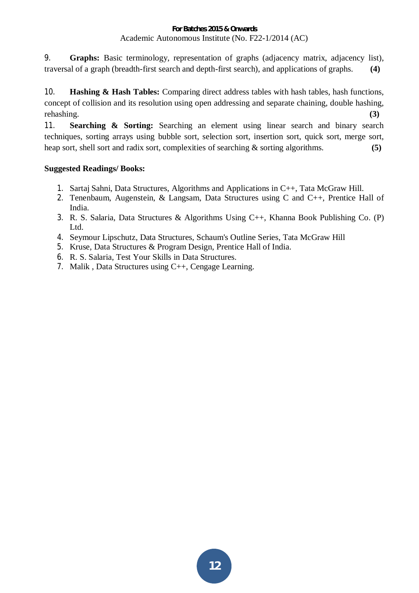9. **Graphs:** Basic terminology, representation of graphs (adjacency matrix, adjacency list), traversal of a graph (breadth-first search and depth-first search), and applications of graphs. **(4)**

10. **Hashing & Hash Tables:** Comparing direct address tables with hash tables, hash functions, concept of collision and its resolution using open addressing and separate chaining, double hashing, rehashing. **(3)**

11. **Searching & Sorting:** Searching an element using linear search and binary search techniques, sorting arrays using bubble sort, selection sort, insertion sort, quick sort, merge sort, heap sort, shell sort and radix sort, complexities of searching & sorting algorithms. **(5)**

# **Suggested Readings/ Books:**

- 1. Sartaj Sahni, Data Structures, Algorithms and Applications in C++, Tata McGraw Hill.
- 2. Tenenbaum, Augenstein, & Langsam, Data Structures using C and C++, Prentice Hall of India.
- 3. R. S. Salaria, Data Structures & Algorithms Using C++, Khanna Book Publishing Co. (P) Ltd.
- 4. Seymour Lipschutz, Data Structures, Schaum's Outline Series, Tata McGraw Hill
- 5. Kruse, Data Structures & Program Design, Prentice Hall of India.
- 6. R. S. Salaria, Test Your Skills in Data Structures.
- 7. Malik , Data Structures using C++, Cengage Learning.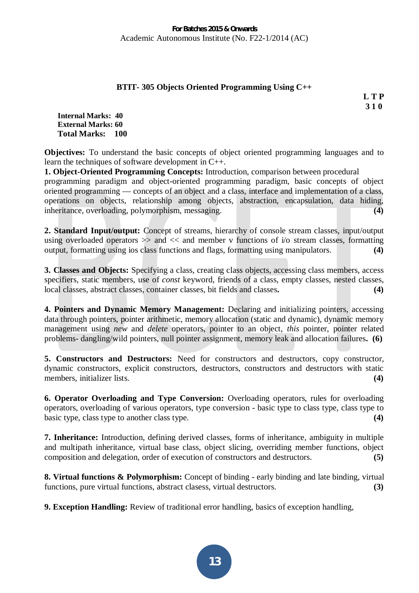# **BTIT- 305 Objects Oriented Programming Using C++**

**L T P 3 1 0** 

**Internal Marks: 40 External Marks: 60 Total Marks: 100** 

**Objectives:** To understand the basic concepts of object oriented programming languages and to learn the techniques of software development in C++.

**1. Object-Oriented Programming Concepts:** Introduction, comparison between procedural programming paradigm and object-oriented programming paradigm, basic concepts of object oriented programming — concepts of an object and a class, interface and implementation of a class, operations on objects, relationship among objects, abstraction, encapsulation, data hiding, inheritance, overloading, polymorphism, messaging. **(4) (4)** 

**2. Standard Input/output:** Concept of streams, hierarchy of console stream classes, input/output using overloaded operators  $\gg$  and  $\ll$  and member v functions of i/o stream classes, formatting output, formatting using ios class functions and flags, formatting using manipulators. **(4)** 

**3. Classes and Objects:** Specifying a class, creating class objects, accessing class members, access specifiers, static members, use of *const* keyword, friends of a class, empty classes, nested classes, local classes, abstract classes, container classes, bit fields and classes**. (4)** 

**4. Pointers and Dynamic Memory Management:** Declaring and initializing pointers, accessing data through pointers, pointer arithmetic, memory allocation (static and dynamic), dynamic memory management using *new* and *delete* operators, pointer to an object, *this* pointer, pointer related problems- dangling/wild pointers, null pointer assignment, memory leak and allocation failures**. (6)** 

**5. Constructors and Destructors:** Need for constructors and destructors, copy constructor, dynamic constructors, explicit constructors, destructors, constructors and destructors with static members, initializer lists. **(4) (4)** 

**6. Operator Overloading and Type Conversion:** Overloading operators, rules for overloading operators, overloading of various operators, type conversion - basic type to class type, class type to basic type, class type to another class type. **(4) (4)** 

**7. Inheritance:** Introduction, defining derived classes, forms of inheritance, ambiguity in multiple and multipath inheritance, virtual base class, object slicing, overriding member functions, object composition and delegation, order of execution of constructors and destructors. **(5)** 

**8. Virtual functions & Polymorphism:** Concept of binding - early binding and late binding, virtual functions, pure virtual functions, abstract clasess, virtual destructors. **(3)** 

**9. Exception Handling:** Review of traditional error handling, basics of exception handling,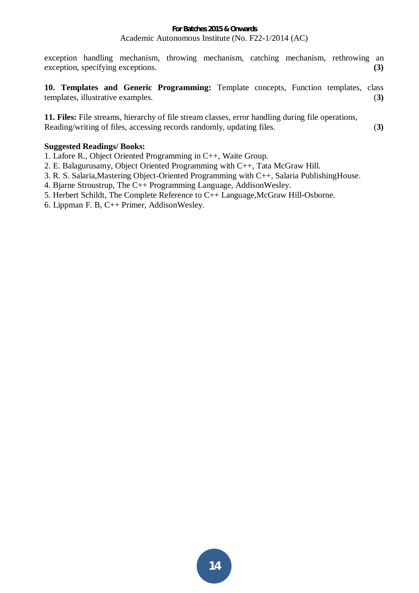exception handling mechanism, throwing mechanism, catching mechanism, rethrowing an exception, specifying exceptions. **(3)**

**10. Templates and Generic Programming:** Template concepts, Function templates, class templates, illustrative examples. (**3)** 

**11. Files:** File streams, hierarchy of file stream classes, error handling during file operations, Reading/writing of files, accessing records randomly, updating files. (**3)**

## **Suggested Readings/ Books:**

1. Lafore R., Object Oriented Programming in C++, Waite Group.

- 2. E. Balagurusamy, Object Oriented Programming with C++, Tata McGraw Hill.
- 3. R. S. Salaria,Mastering Object-Oriented Programming with C++, Salaria PublishingHouse.
- 4. Bjarne Stroustrup, The C++ Programming Language, AddisonWesley.
- 5. Herbert Schildt, The Complete Reference to C++ Language,McGraw Hill-Osborne.
- 6. Lippman F. B, C++ Primer, AddisonWesley.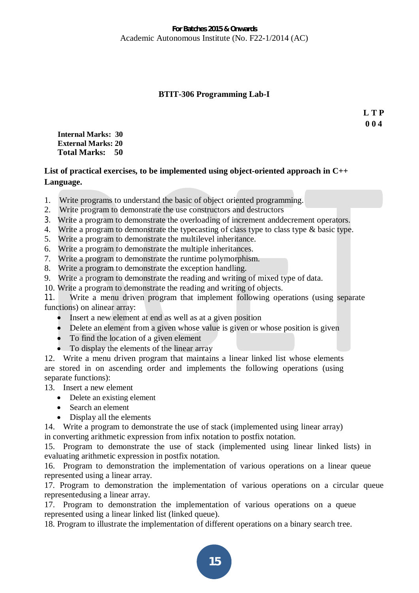## **BTIT-306 Programming Lab-I**

**L T P 0 0 4** 

**Internal Marks: 30 External Marks: 20 Total Marks: 50** 

# **List of practical exercises, to be implemented using object-oriented approach in C++ Language.**

- 1. Write programs to understand the basic of object oriented programming.
- 2. Write program to demonstrate the use constructors and destructors
- 3. Write a program to demonstrate the overloading of increment anddecrement operators.
- 4. Write a program to demonstrate the typecasting of class type to class type & basic type.
- 5. Write a program to demonstrate the multilevel inheritance.
- 6. Write a program to demonstrate the multiple inheritances.
- 7. Write a program to demonstrate the runtime polymorphism.
- 8. Write a program to demonstrate the exception handling.
- 9. Write a program to demonstrate the reading and writing of mixed type of data.
- 10. Write a program to demonstrate the reading and writing of objects.

11. Write a menu driven program that implement following operations (using separate functions) on alinear array:

- Insert a new element at end as well as at a given position
- $\bullet$  Delete an element from a given whose value is given or whose position is given
- $\bullet$  To find the location of a given element
- To display the elements of the linear array

12. Write a menu driven program that maintains a linear linked list whose elements are stored in on ascending order and implements the following operations (using separate functions):

13. Insert a new element

- $\bullet$  Delete an existing element
- Search an element
- $\bullet$  Display all the elements

14. Write a program to demonstrate the use of stack (implemented using linear array) in converting arithmetic expression from infix notation to postfix notation.

15. Program to demonstrate the use of stack (implemented using linear linked lists) in evaluating arithmetic expression in postfix notation.

16. Program to demonstration the implementation of various operations on a linear queue represented using a linear array.

17. Program to demonstration the implementation of various operations on a circular queue representedusing a linear array.

17. Program to demonstration the implementation of various operations on a queue represented using a linear linked list (linked queue).

18. Program to illustrate the implementation of different operations on a binary search tree.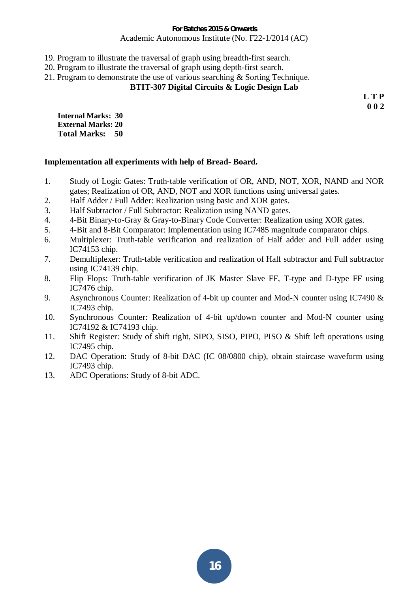- 19. Program to illustrate the traversal of graph using breadth-first search.
- 20. Program to illustrate the traversal of graph using depth-first search.
- 21. Program to demonstrate the use of various searching & Sorting Technique.

# **BTIT-307 Digital Circuits & Logic Design Lab**

**L T P 0 0 2** 

**Internal Marks: 30 External Marks: 20 Total Marks: 50** 

## **Implementation all experiments with help of Bread- Board.**

- 1. Study of Logic Gates: Truth-table verification of OR, AND, NOT, XOR, NAND and NOR gates; Realization of OR, AND, NOT and XOR functions using universal gates.
- 2. Half Adder / Full Adder: Realization using basic and XOR gates.
- 3. Half Subtractor / Full Subtractor: Realization using NAND gates.
- 4. 4-Bit Binary-to-Gray & Gray-to-Binary Code Converter: Realization using XOR gates.
- 5. 4-Bit and 8-Bit Comparator: Implementation using IC7485 magnitude comparator chips.
- 6. Multiplexer: Truth-table verification and realization of Half adder and Full adder using IC74153 chip.
- 7. Demultiplexer: Truth-table verification and realization of Half subtractor and Full subtractor using IC74139 chip.
- 8. Flip Flops: Truth-table verification of JK Master Slave FF, T-type and D-type FF using IC7476 chip.
- 9. Asynchronous Counter: Realization of 4-bit up counter and Mod-N counter using IC7490 & IC7493 chip.
- 10. Synchronous Counter: Realization of 4-bit up/down counter and Mod-N counter using IC74192 & IC74193 chip.
- 11. Shift Register: Study of shift right, SIPO, SISO, PIPO, PISO & Shift left operations using IC7495 chip.
- 12. DAC Operation: Study of 8-bit DAC (IC 08/0800 chip), obtain staircase waveform using IC7493 chip.
- 13. ADC Operations: Study of 8-bit ADC.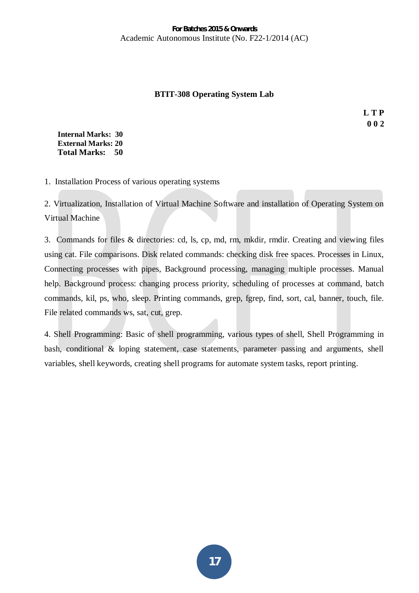# **BTIT-308 Operating System Lab**

**L T P 0 0 2** 

**Internal Marks: 30 External Marks: 20 Total Marks: 50** 

1. Installation Process of various operating systems

2. Virtualization, Installation of Virtual Machine Software and installation of Operating System on Virtual Machine

3. Commands for files & directories: cd, ls, cp, md, rm, mkdir, rmdir. Creating and viewing files using cat. File comparisons. Disk related commands: checking disk free spaces. Processes in Linux, Connecting processes with pipes, Background processing, managing multiple processes. Manual help. Background process: changing process priority, scheduling of processes at command, batch commands, kil, ps, who, sleep. Printing commands, grep, fgrep, find, sort, cal, banner, touch, file. File related commands ws, sat, cut, grep.

4. Shell Programming: Basic of shell programming, various types of shell, Shell Programming in bash, conditional & loping statement, case statements, parameter passing and arguments, shell variables, shell keywords, creating shell programs for automate system tasks, report printing.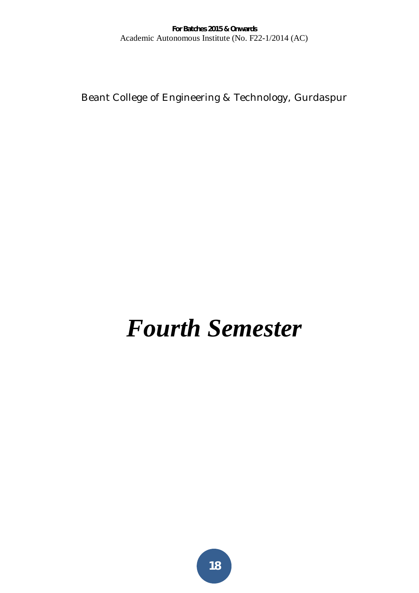Beant College of Engineering & Technology, Gurdaspur

# *Fourth Semester*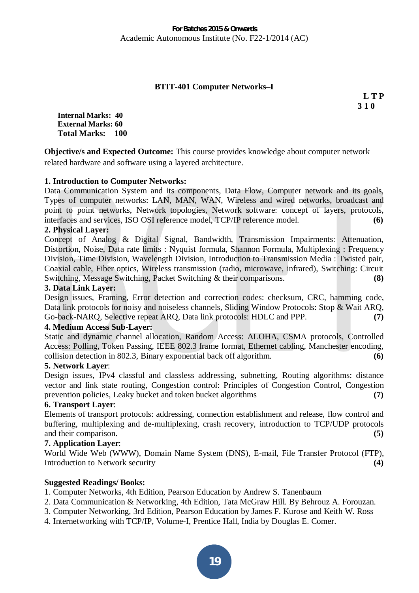# **BTIT-401 Computer Networks–I**

**L T P 3 1 0** 

**Internal Marks: 40 External Marks: 60 Total Marks: 100** 

**Objective/s and Expected Outcome:** This course provides knowledge about computer network related hardware and software using a layered architecture.

## **1. Introduction to Computer Networks:**

Data Communication System and its components, Data Flow, Computer network and its goals, Types of computer networks: LAN, MAN, WAN, Wireless and wired networks, broadcast and point to point networks, Network topologies, Network software: concept of layers, protocols, interfaces and services, ISO OSI reference model, TCP/IP reference model. **(6)**

## **2. Physical Layer:**

Concept of Analog & Digital Signal, Bandwidth, Transmission Impairments: Attenuation, Distortion, Noise, Data rate limits : Nyquist formula, Shannon Formula, Multiplexing : Frequency Division, Time Division, Wavelength Division, Introduction to Transmission Media : Twisted pair, Coaxial cable, Fiber optics, Wireless transmission (radio, microwave, infrared), Switching: Circuit Switching, Message Switching, Packet Switching & their comparisons. **(8)** 

## **3. Data Link Layer:**

Design issues, Framing, Error detection and correction codes: checksum, CRC, hamming code, Data link protocols for noisy and noiseless channels, Sliding Window Protocols: Stop & Wait ARQ, Go-back-NARQ, Selective repeat ARQ, Data link protocols: HDLC and PPP. **(7)** 

## **4. Medium Access Sub-Layer:**

Static and dynamic channel allocation, Random Access: ALOHA, CSMA protocols, Controlled Access: Polling, Token Passing, IEEE 802.3 frame format, Ethernet cabling, Manchester encoding, collision detection in 802.3, Binary exponential back off algorithm. **(6)** 

#### **5. Network Layer**:

Design issues, IPv4 classful and classless addressing, subnetting, Routing algorithms: distance vector and link state routing, Congestion control: Principles of Congestion Control, Congestion prevention policies, Leaky bucket and token bucket algorithms **(7)** 

## **6. Transport Layer**:

Elements of transport protocols: addressing, connection establishment and release, flow control and buffering, multiplexing and de-multiplexing, crash recovery, introduction to TCP/UDP protocols and their comparison. **(5)**

#### **7. Application Layer**:

World Wide Web (WWW), Domain Name System (DNS), E-mail, File Transfer Protocol (FTP), Introduction to Network security **(4)**

## **Suggested Readings/ Books:**

- 1. Computer Networks, 4th Edition, Pearson Education by Andrew S. Tanenbaum
- 2. Data Communication & Networking, 4th Edition, Tata McGraw Hill. By Behrouz A. Forouzan.
- 3. Computer Networking, 3rd Edition, Pearson Education by James F. Kurose and Keith W. Ross
- 4. Internetworking with TCP/IP, Volume-I, Prentice Hall, India by Douglas E. Comer.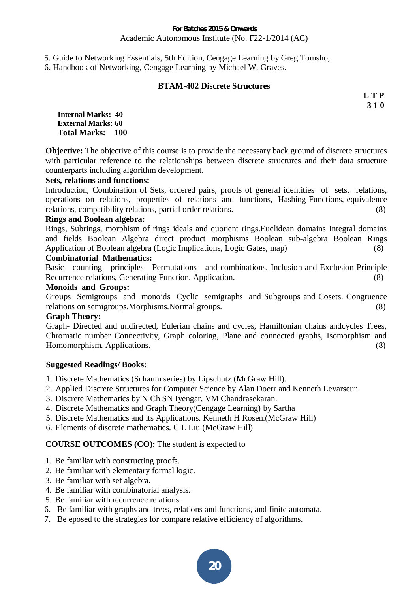5. Guide to Networking Essentials, 5th Edition, Cengage Learning by Greg Tomsho,

6. Handbook of Networking, Cengage Learning by Michael W. Graves.

## **BTAM-402 Discrete Structures**

**L T P 3 1 0** 

**Internal Marks: 40 External Marks: 60 Total Marks: 100** 

**Objective:** The objective of this course is to provide the necessary back ground of discrete structures with particular reference to the relationships between discrete structures and their data structure counterparts including algorithm development.

## **Sets, relations and functions:**

Introduction, Combination of Sets, ordered pairs, proofs of general identities of sets, relations, operations on relations, properties of relations and functions, Hashing Functions, equivalence relations, compatibility relations, partial order relations. (8)

## **Rings and Boolean algebra:**

Rings, Subrings, morphism of rings ideals and quotient rings.Euclidean domains Integral domains and fields Boolean Algebra direct product morphisms Boolean sub-algebra Boolean Rings Application of Boolean algebra (Logic Implications, Logic Gates, map) (8)

# **Combinatorial Mathematics:**

Basic counting principles Permutations and combinations. Inclusion and Exclusion Principle Recurrence relations, Generating Function, Application. (8)

## **Monoids and Groups:**

Groups Semigroups and monoids Cyclic semigraphs and Subgroups and Cosets. Congruence relations on semigroups.Morphisms.Normal groups. (8)

## **Graph Theory:**

Graph- Directed and undirected, Eulerian chains and cycles, Hamiltonian chains andcycles Trees, Chromatic number Connectivity, Graph coloring, Plane and connected graphs, Isomorphism and Homomorphism. Applications. (8)

## **Suggested Readings/ Books:**

- 1. Discrete Mathematics (Schaum series) by Lipschutz (McGraw Hill).
- 2. Applied Discrete Structures for Computer Science by Alan Doerr and Kenneth Levarseur.
- 3. Discrete Mathematics by N Ch SN Iyengar, VM Chandrasekaran.
- 4. Discrete Mathematics and Graph Theory(Cengage Learning) by Sartha
- 5. Discrete Mathematics and its Applications. Kenneth H Rosen.(McGraw Hill)
- 6. Elements of discrete mathematics. C L Liu (McGraw Hill)

# **COURSE OUTCOMES (CO):** The student is expected to

- 1. Be familiar with constructing proofs.
- 2. Be familiar with elementary formal logic.
- 3. Be familiar with set algebra.
- 4. Be familiar with combinatorial analysis.
- 5. Be familiar with recurrence relations.
- 6. Be familiar with graphs and trees, relations and functions, and finite automata.
- 7. Be eposed to the strategies for compare relative efficiency of algorithms.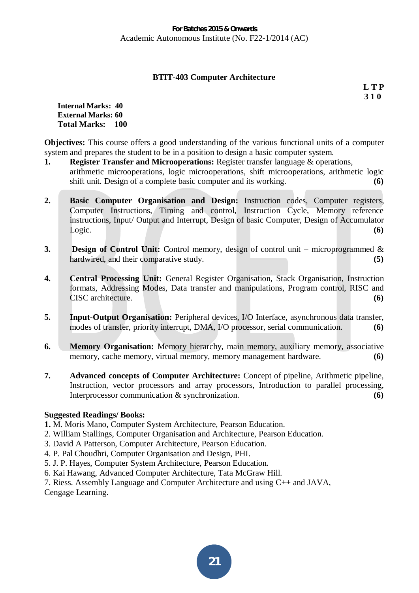## **BTIT-403 Computer Architecture**

**L T P 3 1 0** 

#### **Internal Marks: 40 External Marks: 60 Total Marks: 100**

**Objectives:** This course offers a good understanding of the various functional units of a computer system and prepares the student to be in a position to design a basic computer system.

- **1. Register Transfer and Microoperations:** Register transfer language & operations, arithmetic microoperations, logic microoperations, shift microoperations, arithmetic logic shift unit. Design of a complete basic computer and its working. **(6)**
- **2. Basic Computer Organisation and Design:** Instruction codes, Computer registers, Computer Instructions, Timing and control, Instruction Cycle, Memory reference instructions, Input/ Output and Interrupt, Design of basic Computer, Design of Accumulator Logic. **(6)**
- **3. Design of Control Unit:** Control memory, design of control unit microprogrammed & hardwired, and their comparative study. **(5)** (5)
- **4. Central Processing Unit:** General Register Organisation, Stack Organisation, Instruction formats, Addressing Modes, Data transfer and manipulations, Program control, RISC and CISC architecture. **(6)**
- **5. Input-Output Organisation:** Peripheral devices, I/O Interface, asynchronous data transfer, modes of transfer, priority interrupt, DMA, I/O processor, serial communication. **(6)**
- **6.** Memory Organisation: Memory hierarchy, main memory, auxiliary memory, associative memory, cache memory, virtual memory, memory management hardware. **(6)**
- **7. Advanced concepts of Computer Architecture:** Concept of pipeline, Arithmetic pipeline, Instruction, vector processors and array processors, Introduction to parallel processing, Interprocessor communication & synchronization. **(6)**

# **Suggested Readings/ Books:**

- **1.** M. Moris Mano, Computer System Architecture, Pearson Education.
- 2. William Stallings, Computer Organisation and Architecture, Pearson Education.
- 3. David A Patterson, Computer Architecture, Pearson Education.
- 4. P. Pal Choudhri, Computer Organisation and Design, PHI.
- 5. J. P. Hayes, Computer System Architecture, Pearson Education.
- 6. Kai Hawang, Advanced Computer Architecture, Tata McGraw Hill.

7. Riess. Assembly Language and Computer Architecture and using C++ and JAVA,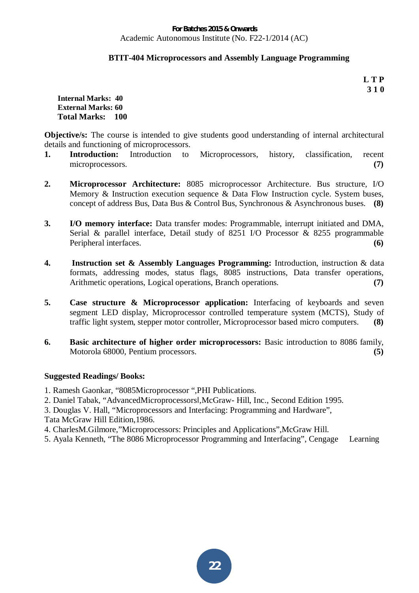## **BTIT-404 Microprocessors and Assembly Language Programming**

**L T P 3 1 0** 

**Internal Marks: 40 External Marks: 60 Total Marks: 100** 

**Objective/s:** The course is intended to give students good understanding of internal architectural details and functioning of microprocessors.

- **1. Introduction:** Introduction to Microprocessors, history, classification, recent microprocessors. **(7)**
- **2. Microprocessor Architecture:** 8085 microprocessor Architecture. Bus structure, I/O Memory & Instruction execution sequence & Data Flow Instruction cycle. System buses, concept of address Bus, Data Bus & Control Bus, Synchronous & Asynchronous buses. **(8)**
- **3. I/O memory interface:** Data transfer modes: Programmable, interrupt initiated and DMA, Serial & parallel interface, Detail study of 8251 I/O Processor & 8255 programmable Peripheral interfaces. **(6)**
- **4. Instruction set & Assembly Languages Programming:** Introduction, instruction & data formats, addressing modes, status flags, 8085 instructions, Data transfer operations, Arithmetic operations, Logical operations, Branch operations. **(7) (7)**
- **5. Case structure & Microprocessor application:** Interfacing of keyboards and seven segment LED display, Microprocessor controlled temperature system (MCTS), Study of traffic light system, stepper motor controller, Microprocessor based micro computers. **(8)**
- **6. Basic architecture of higher order microprocessors:** Basic introduction to 8086 family, Motorola 68000, Pentium processors. **(5)**

# **Suggested Readings/ Books:**

- 1. Ramesh Gaonkar, "8085Microprocessor ",PHI Publications.
- 2. Daniel Tabak, "AdvancedMicroprocessors|,McGraw- Hill, Inc., Second Edition 1995.
- 3. Douglas V. Hall, "Microprocessors and Interfacing: Programming and Hardware",
- Tata McGraw Hill Edition,1986.
- 4. CharlesM.Gilmore,"Microprocessors: Principles and Applications",McGraw Hill.
- 5. Ayala Kenneth, "The 8086 Microprocessor Programming and Interfacing", Cengage Learning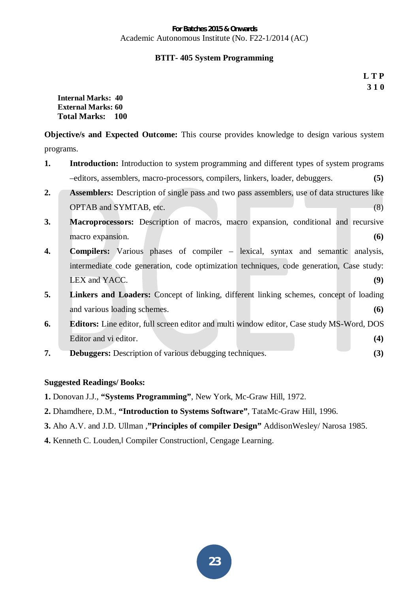# **BTIT- 405 System Programming**

**L T P 3 1 0** 

**Internal Marks: 40 External Marks: 60 Total Marks: 100** 

**Objective/s and Expected Outcome:** This course provides knowledge to design various system programs.

- **1.** Introduction: Introduction to system programming and different types of system programs –editors, assemblers, macro-processors, compilers, linkers, loader, debuggers. **(5)**
- **2. Assemblers:** Description of single pass and two pass assemblers, use of data structures like OPTAB and SYMTAB, etc. (8)
- **3. Macroprocessors:** Description of macros, macro expansion, conditional and recursive macro expansion. **(6) (6)**
- **4. Compilers:** Various phases of compiler lexical, syntax and semantic analysis, intermediate code generation, code optimization techniques, code generation, Case study: LEX and YACC. **(9)**
- **5. Linkers and Loaders:** Concept of linking, different linking schemes, concept of loading and various loading schemes. **(6)**
- **6. Editors:** Line editor, full screen editor and multi window editor, Case study MS-Word, DOS Editor and vi editor. **(4) (4)**
- **7. Debuggers:** Description of various debugging techniques. **(3)**

# **Suggested Readings/ Books:**

- **1.** Donovan J.J., **"Systems Programming"**, New York, Mc-Graw Hill, 1972.
- **2.** Dhamdhere, D.M., **"Introduction to Systems Software"**, TataMc-Graw Hill, 1996.
- **3.** Aho A.V. and J.D. Ullman ,**"Principles of compiler Design"** AddisonWesley/ Narosa 1985.
- **4.** Kenneth C. Louden, Compiler Construction, Cengage Learning.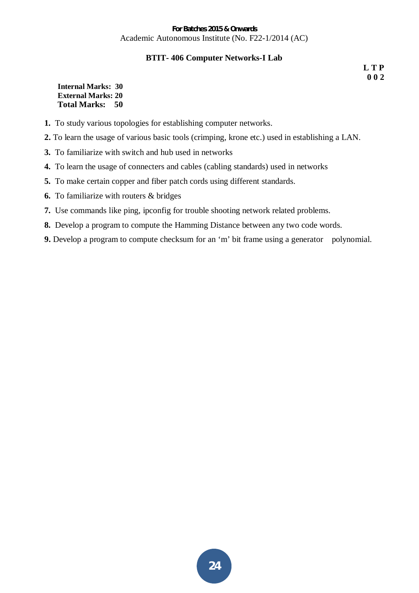## **BTIT- 406 Computer Networks-I Lab**

**L T P 0 0 2** 

**Internal Marks: 30 External Marks: 20 Total Marks: 50** 

- **1.** To study various topologies for establishing computer networks.
- **2.** To learn the usage of various basic tools (crimping, krone etc.) used in establishing a LAN.
- **3.** To familiarize with switch and hub used in networks
- **4.** To learn the usage of connecters and cables (cabling standards) used in networks
- **5.** To make certain copper and fiber patch cords using different standards.
- **6.** To familiarize with routers & bridges
- **7.** Use commands like ping, ipconfig for trouble shooting network related problems.
- **8.** Develop a program to compute the Hamming Distance between any two code words.
- **9.** Develop a program to compute checksum for an 'm' bit frame using a generator polynomial.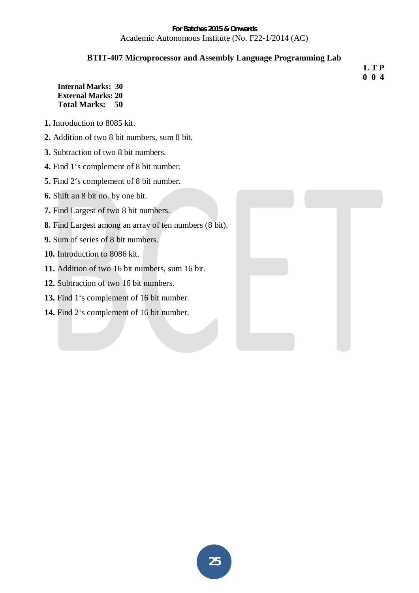# **BTIT-407 Microprocessor and Assembly Language Programming Lab**

**Internal Marks: 30 External Marks: 20 Total Marks: 50** 

- **1.** Introduction to 8085 kit.
- **2.** Addition of two 8 bit numbers, sum 8 bit.
- **3.** Subtraction of two 8 bit numbers.
- **4.** Find 1's complement of 8 bit number.
- **5.** Find 2's complement of 8 bit number.
- **6.** Shift an 8 bit no. by one bit.
- **7.** Find Largest of two 8 bit numbers.
- **8.** Find Largest among an array of ten numbers (8 bit).
- **9.** Sum of series of 8 bit numbers.
- **10.** Introduction to 8086 kit.
- **11.** Addition of two 16 bit numbers, sum 16 bit.
- **12.** Subtraction of two 16 bit numbers.
- 13. Find 1's complement of 16 bit number.
- **14.** Find 2's complement of 16 bit number.



 **L T P 0 0 4**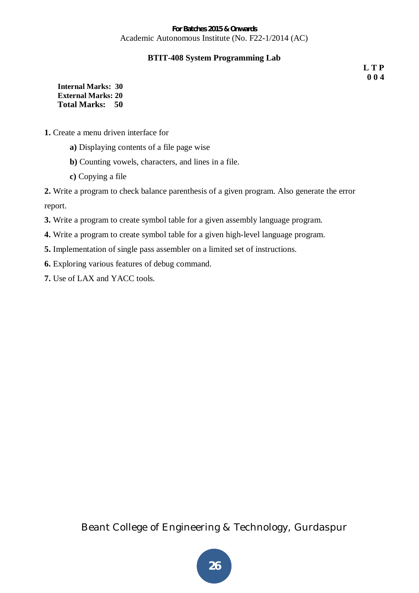# **BTIT-408 System Programming Lab**

**L T P 0 0 4** 

**Internal Marks: 30 External Marks: 20 Total Marks: 50** 

- **1.** Create a menu driven interface for
	- **a)** Displaying contents of a file page wise
	- **b)** Counting vowels, characters, and lines in a file.
	- **c)** Copying a file

**2.** Write a program to check balance parenthesis of a given program. Also generate the error report.

- **3.** Write a program to create symbol table for a given assembly language program.
- **4.** Write a program to create symbol table for a given high-level language program.
- **5.** Implementation of single pass assembler on a limited set of instructions.

**6.** Exploring various features of debug command.

**7.** Use of LAX and YACC tools.

Beant College of Engineering & Technology, Gurdaspur

**26**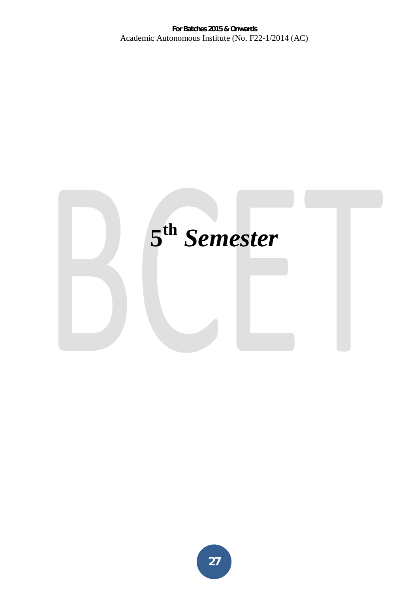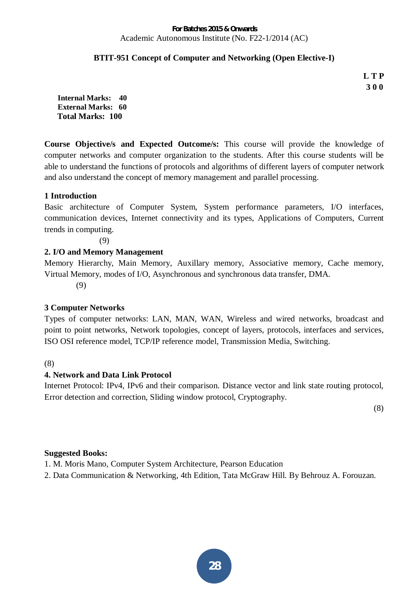# **BTIT-951 Concept of Computer and Networking (Open Elective-I)**

**L T P 3 0 0** 

**Internal Marks: 40 External Marks: 60 Total Marks: 100** 

**Course Objective/s and Expected Outcome/s:** This course will provide the knowledge of computer networks and computer organization to the students. After this course students will be able to understand the functions of protocols and algorithms of different layers of computer network and also understand the concept of memory management and parallel processing.

# **1 Introduction**

Basic architecture of Computer System, System performance parameters, I/O interfaces, communication devices, Internet connectivity and its types, Applications of Computers, Current trends in computing.

(9)

# **2. I/O and Memory Management**

Memory Hierarchy, Main Memory, Auxillary memory, Associative memory, Cache memory, Virtual Memory, modes of I/O, Asynchronous and synchronous data transfer, DMA.

(9)

# **3 Computer Networks**

Types of computer networks: LAN, MAN, WAN, Wireless and wired networks, broadcast and point to point networks, Network topologies, concept of layers, protocols, interfaces and services, ISO OSI reference model, TCP/IP reference model, Transmission Media, Switching.

(8)

# **4. Network and Data Link Protocol**

Internet Protocol: IPv4, IPv6 and their comparison. Distance vector and link state routing protocol, Error detection and correction, Sliding window protocol, Cryptography.

(8)

# **Suggested Books:**

1. M. Moris Mano, Computer System Architecture, Pearson Education

2. Data Communication & Networking, 4th Edition, Tata McGraw Hill. By Behrouz A. Forouzan.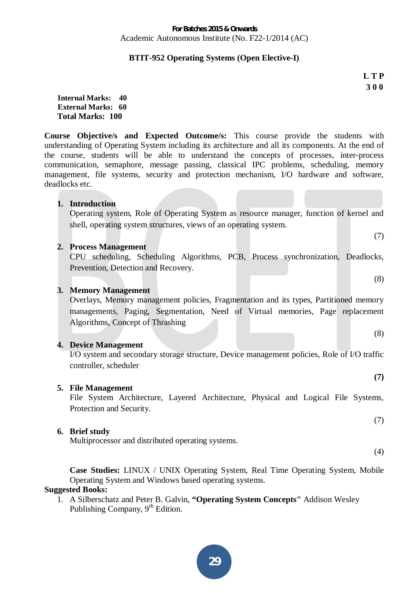# **BTIT-952 Operating Systems (Open Elective-I)**

**L T P 3 0 0** 

(7)

(8)

(8)

**(7)** 

**Internal Marks: 40 External Marks: 60 Total Marks: 100** 

**Course Objective/s and Expected Outcome/s:** This course provide the students with understanding of Operating System including its architecture and all its components. At the end of the course, students will be able to understand the concepts of processes, inter-process communication, semaphore, message passing, classical IPC problems, scheduling, memory management, file systems, security and protection mechanism, I/O hardware and software, deadlocks etc.

**1. Introduction** 

Operating system, Role of Operating System as resource manager, function of kernel and shell, operating system structures, views of an operating system.

## **2. Process Management**

CPU scheduling, Scheduling Algorithms, PCB, Process synchronization, Deadlocks, Prevention, Detection and Recovery.

## **3. Memory Management**

Overlays, Memory management policies, Fragmentation and its types, Partitioned memory managements, Paging, Segmentation, Need of Virtual memories, Page replacement Algorithms, Concept of Thrashing

## **4. Device Management**

I/O system and secondary storage structure, Device management policies, Role of I/O traffic controller, scheduler

## **5. File Management**

File System Architecture, Layered Architecture, Physical and Logical File Systems, Protection and Security.

## **6. Brief study**

Multiprocessor and distributed operating systems.

(4)

(7)

**Case Studies:** LINUX / UNIX Operating System, Real Time Operating System, Mobile Operating System and Windows based operating systems.

# **Suggested Books:**

1. A Silberschatz and Peter B. Galvin, **"Operating System Concepts"** Addison Wesley Publishing Company, 9<sup>th</sup> Edition.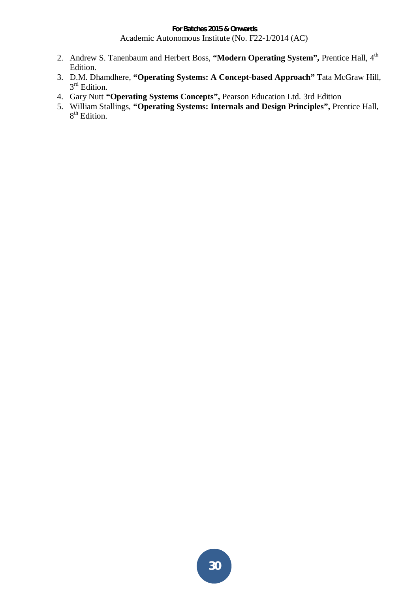- 2. Andrew S. Tanenbaum and Herbert Boss, "Modern Operating System", Prentice Hall, 4<sup>th</sup> Edition.
- 3. D.M. Dhamdhere, **"Operating Systems: A Concept-based Approach"** Tata McGraw Hill, 3<sup>rd</sup> Edition.
- 4. Gary Nutt **"Operating Systems Concepts",** Pearson Education Ltd. 3rd Edition
- 5. William Stallings, **"Operating Systems: Internals and Design Principles",** Prentice Hall, 8<sup>th</sup> Edition.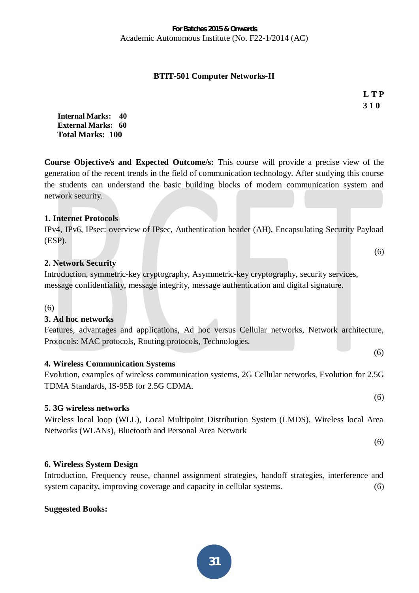# **BTIT-501 Computer Networks-II**

**L T P 3 1 0** 

 $(6)$ 

**Internal Marks: 40 External Marks: 60 Total Marks: 100** 

**Course Objective/s and Expected Outcome/s:** This course will provide a precise view of the generation of the recent trends in the field of communication technology. After studying this course the students can understand the basic building blocks of modern communication system and network security.

## **1. Internet Protocols**

IPv4, IPv6, IPsec: overview of IPsec, Authentication header (AH), Encapsulating Security Payload (ESP).

## **2. Network Security**

Introduction, symmetric-key cryptography, Asymmetric-key cryptography, security services, message confidentiality, message integrity, message authentication and digital signature.

(6)

# **3. Ad hoc networks**

Features, advantages and applications, Ad hoc versus Cellular networks, Network architecture, Protocols: MAC protocols, Routing protocols, Technologies.

## **4. Wireless Communication Systems**

Evolution, examples of wireless communication systems, 2G Cellular networks, Evolution for 2.5G TDMA Standards, IS-95B for 2.5G CDMA.

# **5. 3G wireless networks**

Wireless local loop (WLL), Local Multipoint Distribution System (LMDS), Wireless local Area Networks (WLANs), Bluetooth and Personal Area Network

## **6. Wireless System Design**

Introduction, Frequency reuse, channel assignment strategies, handoff strategies, interference and system capacity, improving coverage and capacity in cellular systems.  $(6)$ 

## **Suggested Books:**

(6)

(6)

(6)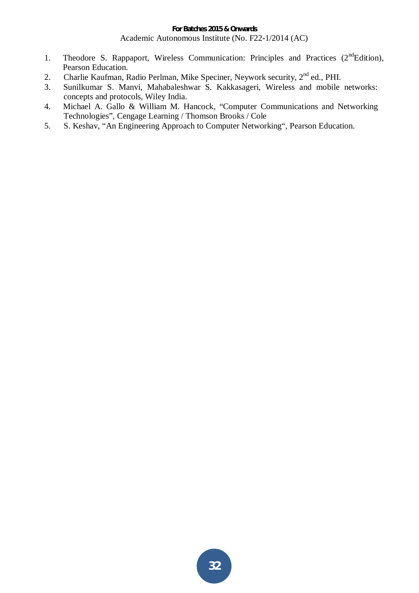- 1. Theodore S. Rappaport, Wireless Communication: Principles and Practices  $(2<sup>nd</sup>Edition)$ , Pearson Education.
- 2. Charlie Kaufman, Radio Perlman, Mike Speciner, Neywork security, 2<sup>nd</sup> ed., PHI.
- 3. Sunilkumar S. Manvi, Mahabaleshwar S. Kakkasageri, Wireless and mobile networks: concepts and protocols, Wiley India.
- 4. Michael A. Gallo & William M. Hancock, "Computer Communications and Networking Technologies", Cengage Learning / Thomson Brooks / Cole
- 5. S. Keshav, "An Engineering Approach to Computer Networking", Pearson Education.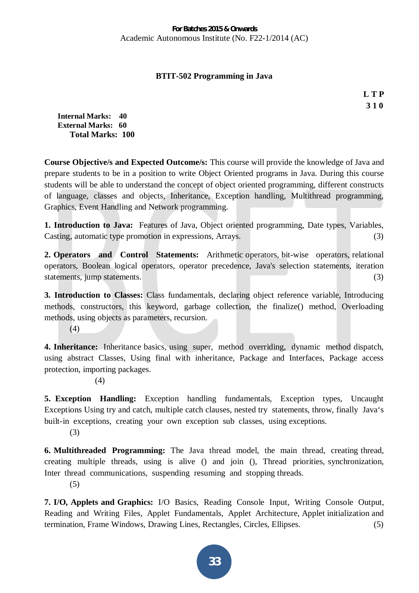## **BTIT-502 Programming in Java**

**L T P 3 1 0** 

**Internal Marks: 40 External Marks: 60 Total Marks: 100** 

**Course Objective/s and Expected Outcome/s:** This course will provide the knowledge of Java and prepare students to be in a position to write Object Oriented programs in Java. During this course students will be able to understand the concept of object oriented programming, different constructs of language, classes and objects, Inheritance, Exception handling, Multithread programming, Graphics, Event Handling and Network programming.

**1. Introduction to Java:** Features of Java, Object oriented programming, Date types, Variables, Casting, automatic type promotion in expressions, Arrays. (3)

**2. Operators and Control Statements:** Arithmetic operators, bit-wise operators, relational operators, Boolean logical operators, operator precedence, Java's selection statements, iteration statements, jump statements. (3) (3)

**3. Introduction to Classes:** Class fundamentals, declaring object reference variable, Introducing methods, constructors, this keyword, garbage collection, the finalize() method, Overloading methods, using objects as parameters, recursion.

(4)

**4. Inheritance:** Inheritance basics, using super, method overriding, dynamic method dispatch, using abstract Classes, Using final with inheritance, Package and Interfaces, Package access protection, importing packages.

(4)

**5. Exception Handling:** Exception handling fundamentals, Exception types, Uncaught Exceptions Using try and catch, multiple catch clauses, nested try statements, throw, finally Java's built-in exceptions, creating your own exception sub classes, using exceptions.

(3)

**6. Multithreaded Programming:** The Java thread model, the main thread, creating thread, creating multiple threads, using is alive () and join (), Thread priorities, synchronization, Inter thread communications, suspending resuming and stopping threads.

(5)

**7. I/O, Applets and Graphics:** I/O Basics, Reading Console Input, Writing Console Output, Reading and Writing Files, Applet Fundamentals, Applet Architecture, Applet initialization and termination, Frame Windows, Drawing Lines, Rectangles, Circles, Ellipses. (5)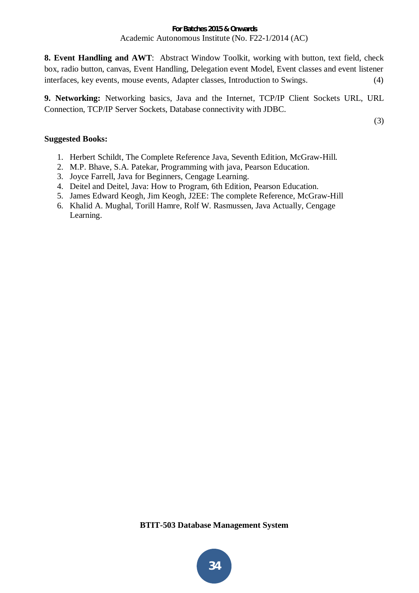**8. Event Handling and AWT**: Abstract Window Toolkit, working with button, text field, check box, radio button, canvas, Event Handling, Delegation event Model, Event classes and event listener interfaces, key events, mouse events, Adapter classes, Introduction to Swings. (4)

**9. Networking:** Networking basics, Java and the Internet, TCP/IP Client Sockets URL, URL Connection, TCP/IP Server Sockets, Database connectivity with JDBC.

(3)

# **Suggested Books:**

- 1. Herbert Schildt, The Complete Reference Java, Seventh Edition, McGraw-Hill.
- 2. M.P. Bhave, S.A. Patekar, Programming with java, Pearson Education.
- 3. Joyce Farrell, Java for Beginners, Cengage Learning.
- 4. Deitel and Deitel, Java: How to Program, 6th Edition, Pearson Education.
- 5. James Edward Keogh, Jim Keogh, J2EE: The complete Reference, McGraw-Hill
- 6. Khalid A. Mughal, Torill Hamre, Rolf W. Rasmussen, Java Actually, Cengage Learning.

**BTIT-503 Database Management System**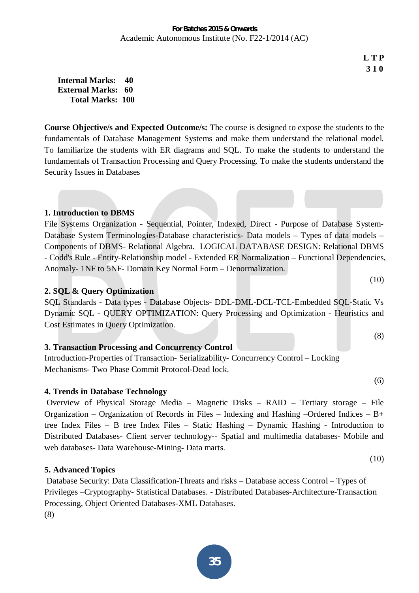**L T P 3 1 0** 

(10)

(8)

(6)

(10)

**Internal Marks: 40 External Marks: 60 Total Marks: 100** 

**Course Objective/s and Expected Outcome/s:** The course is designed to expose the students to the fundamentals of Database Management Systems and make them understand the relational model. To familiarize the students with ER diagrams and SQL. To make the students to understand the fundamentals of Transaction Processing and Query Processing. To make the students understand the Security Issues in Databases

# **1. Introduction to DBMS**

File Systems Organization - Sequential, Pointer, Indexed, Direct - Purpose of Database System-Database System Terminologies-Database characteristics- Data models – Types of data models – Components of DBMS- Relational Algebra. LOGICAL DATABASE DESIGN: Relational DBMS - Codd's Rule - Entity-Relationship model - Extended ER Normalization – Functional Dependencies, Anomaly- 1NF to 5NF- Domain Key Normal Form – Denormalization.

# **2. SQL & Query Optimization**

SQL Standards - Data types - Database Objects- DDL-DML-DCL-TCL-Embedded SQL-Static Vs Dynamic SQL - QUERY OPTIMIZATION: Query Processing and Optimization - Heuristics and Cost Estimates in Query Optimization.

# **3. Transaction Processing and Concurrency Control**

Introduction-Properties of Transaction- Serializability- Concurrency Control – Locking Mechanisms- Two Phase Commit Protocol-Dead lock.

# **4. Trends in Database Technology**

 Overview of Physical Storage Media – Magnetic Disks – RAID – Tertiary storage – File Organization – Organization of Records in Files – Indexing and Hashing –Ordered Indices – B+ tree Index Files – B tree Index Files – Static Hashing – Dynamic Hashing - Introduction to Distributed Databases- Client server technology-- Spatial and multimedia databases- Mobile and web databases- Data Warehouse-Mining- Data marts.

# **5. Advanced Topics**

 Database Security: Data Classification-Threats and risks – Database access Control – Types of Privileges –Cryptography- Statistical Databases. - Distributed Databases-Architecture-Transaction Processing, Object Oriented Databases-XML Databases. (8)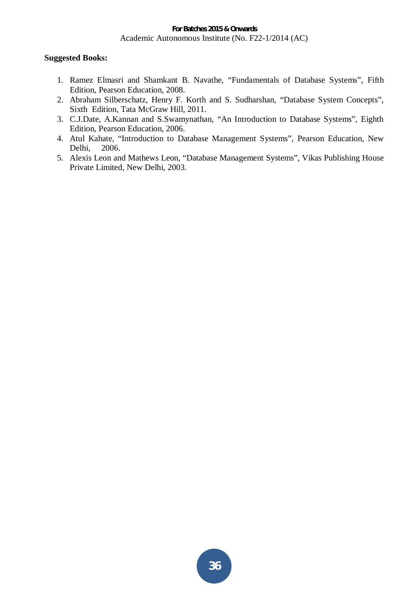# **Suggested Books:**

- 1. Ramez Elmasri and Shamkant B. Navathe, "Fundamentals of Database Systems", Fifth Edition, Pearson Education, 2008.
- 2. Abraham Silberschatz, Henry F. Korth and S. Sudharshan, "Database System Concepts", Sixth Edition, Tata McGraw Hill, 2011.
- 3. C.J.Date, A.Kannan and S.Swamynathan, "An Introduction to Database Systems", Eighth Edition, Pearson Education, 2006.
- 4. Atul Kahate, "Introduction to Database Management Systems", Pearson Education, New Delhi, 2006.
- 5. Alexis Leon and Mathews Leon, "Database Management Systems", Vikas Publishing House Private Limited, New Delhi, 2003.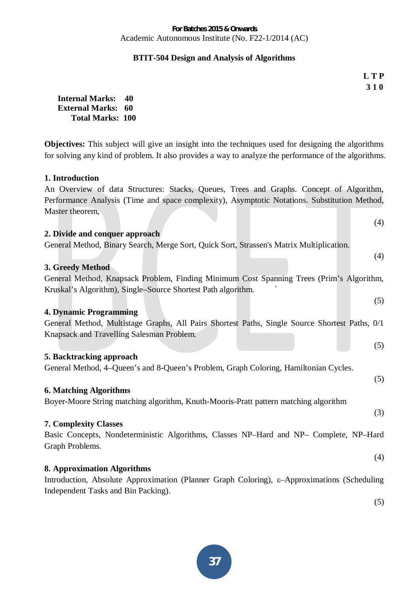#### **BTIT-504 Design and Analysis of Algorithms**

**L T P 3 1 0** 

**Internal Marks: 40 External Marks: 60 Total Marks: 100** 

**Objectives:** This subject will give an insight into the techniques used for designing the algorithms for solving any kind of problem. It also provides a way to analyze the performance of the algorithms.

#### **1. Introduction**

An Overview of data Structures: Stacks, Queues, Trees and Graphs. Concept of Algorithm, Performance Analysis (Time and space complexity), Asymptotic Notations. Substitution Method, Master theorem,  $(4)$ 

| (4)<br>2. Divide and conquer approach                                                                    |  |
|----------------------------------------------------------------------------------------------------------|--|
| General Method, Binary Search, Merge Sort, Quick Sort, Strassen's Matrix Multiplication.                 |  |
| (4)                                                                                                      |  |
| 3. Greedy Method                                                                                         |  |
| General Method, Knapsack Problem, Finding Minimum Cost Spanning Trees (Prim's Algorithm,                 |  |
| Kruskal's Algorithm), Single-Source Shortest Path algorithm.                                             |  |
| (5)                                                                                                      |  |
| <b>4. Dynamic Programming</b>                                                                            |  |
| General Method, Multistage Graphs, All Pairs Shortest Paths, Single Source Shortest Paths, 0/1           |  |
| Knapsack and Travelling Salesman Problem.                                                                |  |
|                                                                                                          |  |
| (5)                                                                                                      |  |
| 5. Backtracking approach                                                                                 |  |
| General Method, 4-Queen's and 8-Queen's Problem, Graph Coloring, Hamiltonian Cycles.                     |  |
| (5)                                                                                                      |  |
| <b>6. Matching Algorithms</b>                                                                            |  |
| Boyer-Moore String matching algorithm, Knuth-Mooris-Pratt pattern matching algorithm                     |  |
| (3)                                                                                                      |  |
| <b>7. Complexity Classes</b>                                                                             |  |
| Basic Concepts, Nondeterministic Algorithms, Classes NP-Hard and NP- Complete, NP-Hard                   |  |
| Graph Problems.                                                                                          |  |
|                                                                                                          |  |
| (4)                                                                                                      |  |
| <b>8. Approximation Algorithms</b>                                                                       |  |
| Introduction, Absolute Approximation (Planner Graph Coloring), $\varepsilon$ -Approximations (Scheduling |  |
| Independent Tasks and Bin Packing).                                                                      |  |

(5)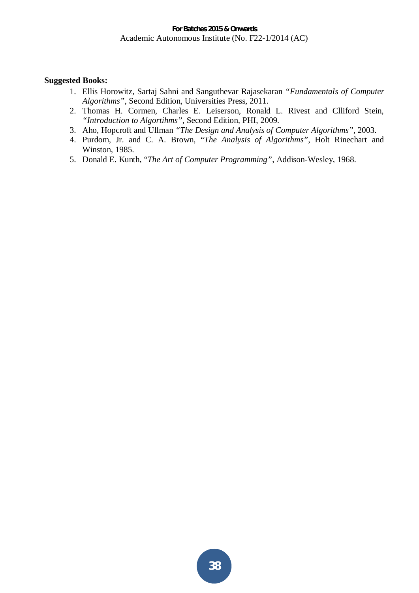- 1. Ellis Horowitz, Sartaj Sahni and Sanguthevar Rajasekaran *"Fundamentals of Computer Algorithms"*, Second Edition, Universities Press, 2011.
- 2. Thomas H. Cormen, Charles E. Leiserson, Ronald L. Rivest and Clliford Stein, *"Introduction to Algortihms",* Second Edition, PHI, 2009.
- 3. Aho, Hopcroft and Ullman *"The Design and Analysis of Computer Algorithms",* 2003.
- 4. Purdom, Jr. and C. A. Brown, "*The Analysis of Algorithms"*, Holt Rinechart and Winston, 1985.
- 5. Donald E. Kunth, "*The Art of Computer Programming"*, Addison-Wesley, 1968.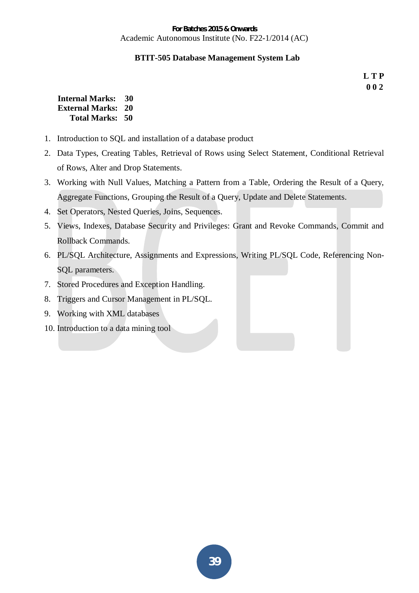#### **BTIT-505 Database Management System Lab**

**L T P 0 0 2** 

| <b>Internal Marks:</b>    | 30 |
|---------------------------|----|
| <b>External Marks: 20</b> |    |
| Total Marks: 50           |    |

- 1. Introduction to SQL and installation of a database product
- 2. Data Types, Creating Tables, Retrieval of Rows using Select Statement, Conditional Retrieval of Rows, Alter and Drop Statements.
- 3. Working with Null Values, Matching a Pattern from a Table, Ordering the Result of a Query, Aggregate Functions, Grouping the Result of a Query, Update and Delete Statements.
- 4. Set Operators, Nested Queries, Joins, Sequences.
- 5. Views, Indexes, Database Security and Privileges: Grant and Revoke Commands, Commit and Rollback Commands.
- 6. PL/SQL Architecture, Assignments and Expressions, Writing PL/SQL Code, Referencing Non-SQL parameters.
- 7. Stored Procedures and Exception Handling.
- 8. Triggers and Cursor Management in PL/SQL.
- 9. Working with XML databases
- 10. Introduction to a data mining tool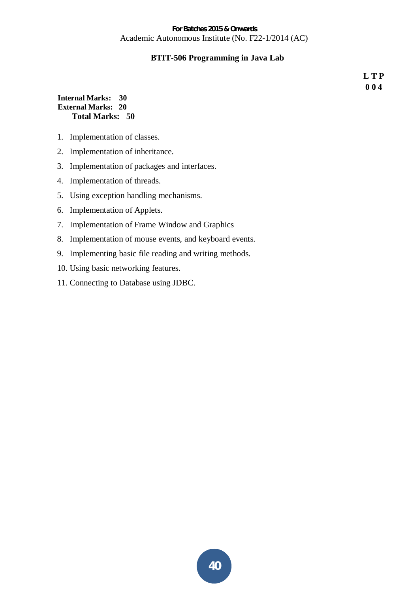### **BTIT-506 Programming in Java Lab**

**L T P 0 0 4** 

#### **Internal Marks: 30 External Marks: 20 Total Marks: 50**

- 1. Implementation of classes.
- 2. Implementation of inheritance.
- 3. Implementation of packages and interfaces.
- 4. Implementation of threads.
- 5. Using exception handling mechanisms.
- 6. Implementation of Applets.
- 7. Implementation of Frame Window and Graphics
- 8. Implementation of mouse events, and keyboard events.
- 9. Implementing basic file reading and writing methods.
- 10. Using basic networking features.
- 11. Connecting to Database using JDBC.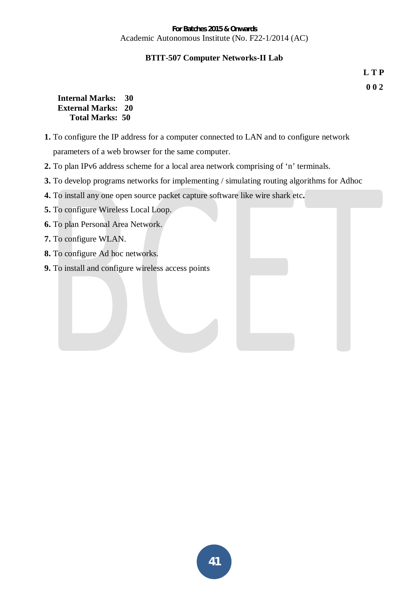#### **BTIT-507 Computer Networks-II Lab**

**L T P 0 0 2** 

| <b>Internal Marks:</b>    | 30 |
|---------------------------|----|
| <b>External Marks: 20</b> |    |
| <b>Total Marks: 50</b>    |    |

- **1.** To configure the IP address for a computer connected to LAN and to configure network parameters of a web browser for the same computer.
- **2.** To plan IPv6 address scheme for a local area network comprising of 'n' terminals.
- **3.** To develop programs networks for implementing / simulating routing algorithms for Adhoc
- **4.** To install any one open source packet capture software like wire shark etc**.**
- **5.** To configure Wireless Local Loop.
- **6.** To plan Personal Area Network.
- **7.** To configure WLAN.
- **8.** To configure Ad hoc networks.
- **9.** To install and configure wireless access points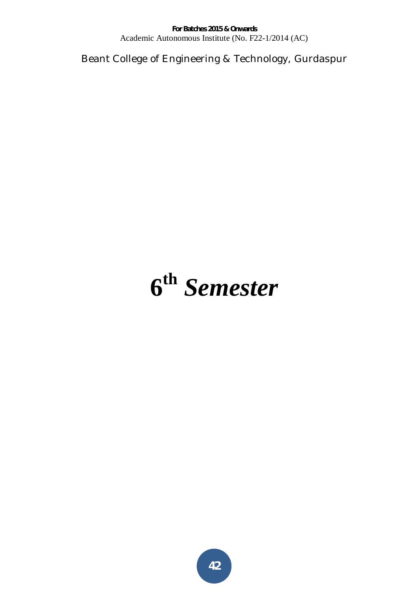Beant College of Engineering & Technology, Gurdaspur

# **6 th** *Semester*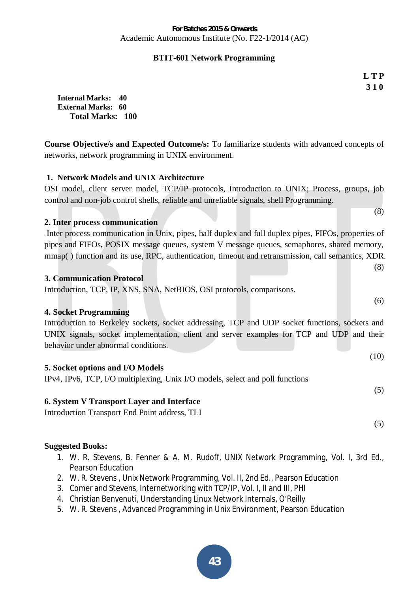# **BTIT-601 Network Programming**

**L T P 3 1 0** 

(8)

(8)

(6)

**Internal Marks: 40 External Marks: 60 Total Marks: 100** 

**Course Objective/s and Expected Outcome/s:** To familiarize students with advanced concepts of networks, network programming in UNIX environment.

# **1. Network Models and UNIX Architecture**

OSI model, client server model, TCP/IP protocols, Introduction to UNIX; Process, groups, job control and non-job control shells, reliable and unreliable signals, shell Programming.

#### **2. Inter process communication**

 Inter process communication in Unix, pipes, half duplex and full duplex pipes, FIFOs, properties of pipes and FIFOs, POSIX message queues, system V message queues, semaphores, shared memory, mmap( ) function and its use, RPC, authentication, timeout and retransmission, call semantics, XDR.

#### **3. Communication Protocol**

Introduction, TCP, IP, XNS, SNA, NetBIOS, OSI protocols, comparisons.

# **4. Socket Programming**

Introduction to Berkeley sockets, socket addressing, TCP and UDP socket functions, sockets and UNIX signals, socket implementation, client and server examples for TCP and UDP and their behavior under abnormal conditions.

|                                  | (10) |
|----------------------------------|------|
| 5. Socket options and I/O Models |      |

IPv4, IPv6, TCP, I/O multiplexing, Unix I/O models, select and poll functions

# **6. System V Transport Layer and Interface**

Introduction Transport End Point address, TLI

(5)

(5)

- 1. W. R. Stevens, B. Fenner & A. M. Rudoff, UNIX Network Programming, Vol. I, 3rd Ed., Pearson Education
- 2. W. R. Stevens , Unix Network Programming, Vol. II, 2nd Ed., Pearson Education
- 3. Comer and Stevens, Internetworking with TCP/IP, Vol. I, II and III, PHI
- 4. Christian Benvenuti, Understanding Linux Network Internals, O'Reilly
- 5. W. R. Stevens , Advanced Programming in Unix Environment, Pearson Education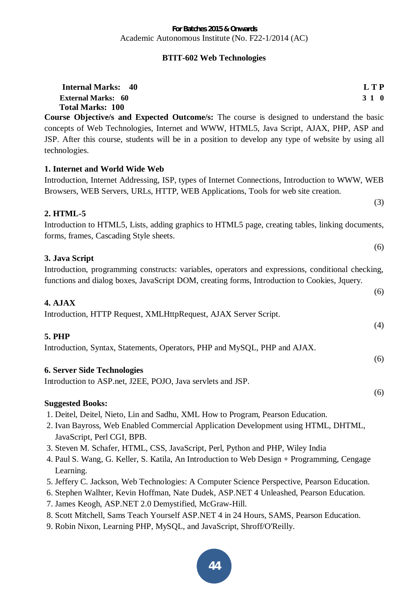# **BTIT-602 Web Technologies**

| <b>Internal Marks: 40</b><br><b>External Marks: 60</b>                                                                                                                                                                                                                                    | L T P<br>310 |
|-------------------------------------------------------------------------------------------------------------------------------------------------------------------------------------------------------------------------------------------------------------------------------------------|--------------|
| <b>Total Marks: 100</b>                                                                                                                                                                                                                                                                   |              |
| Course Objective/s and Expected Outcome/s: The course is designed to understand the basic<br>concepts of Web Technologies, Internet and WWW, HTML5, Java Script, AJAX, PHP, ASP and<br>JSP. After this course, students will be in a position to develop any type of website by using all |              |
| technologies.                                                                                                                                                                                                                                                                             |              |
| 1. Internet and World Wide Web                                                                                                                                                                                                                                                            |              |
| Introduction, Internet Addressing, ISP, types of Internet Connections, Introduction to WWW, WEB<br>Browsers, WEB Servers, URLs, HTTP, WEB Applications, Tools for web site creation.                                                                                                      |              |
|                                                                                                                                                                                                                                                                                           | (3)          |
| 2. HTML-5                                                                                                                                                                                                                                                                                 |              |
| Introduction to HTML5, Lists, adding graphics to HTML5 page, creating tables, linking documents,<br>forms, frames, Cascading Style sheets.                                                                                                                                                |              |
|                                                                                                                                                                                                                                                                                           | (6)          |
| 3. Java Script                                                                                                                                                                                                                                                                            |              |
| Introduction, programming constructs: variables, operators and expressions, conditional checking,<br>functions and dialog boxes, JavaScript DOM, creating forms, Introduction to Cookies, Jquery.                                                                                         |              |
|                                                                                                                                                                                                                                                                                           | (6)          |
| 4. AJAX                                                                                                                                                                                                                                                                                   |              |
| Introduction, HTTP Request, XMLHttpRequest, AJAX Server Script.                                                                                                                                                                                                                           |              |
|                                                                                                                                                                                                                                                                                           | (4)          |
| <b>5. PHP</b><br>Introduction, Syntax, Statements, Operators, PHP and MySQL, PHP and AJAX.                                                                                                                                                                                                |              |
|                                                                                                                                                                                                                                                                                           | (6)          |
| <b>6. Server Side Technologies</b>                                                                                                                                                                                                                                                        |              |
| Introduction to ASP.net, J2EE, POJO, Java servlets and JSP.                                                                                                                                                                                                                               |              |
|                                                                                                                                                                                                                                                                                           | (6)          |
| <b>Suggested Books:</b>                                                                                                                                                                                                                                                                   |              |
| 1. Deitel, Deitel, Nieto, Lin and Sadhu, XML How to Program, Pearson Education.                                                                                                                                                                                                           |              |
| 2. Ivan Bayross, Web Enabled Commercial Application Development using HTML, DHTML,<br>JavaScript, Perl CGI, BPB.                                                                                                                                                                          |              |
| 3. Steven M. Schafer, HTML, CSS, JavaScript, Perl, Python and PHP, Wiley India                                                                                                                                                                                                            |              |
| 4. Paul S. Wang, G. Keller, S. Katila, An Introduction to Web Design + Programming, Cengage                                                                                                                                                                                               |              |

- Learning.
- 5. Jeffery C. Jackson, Web Technologies: A Computer Science Perspective, Pearson Education.
- 6. Stephen Walhter, Kevin Hoffman, Nate Dudek, ASP.NET 4 Unleashed, Pearson Education.
- 7. James Keogh, ASP.NET 2.0 Demystified, McGraw-Hill.
- 8. Scott Mitchell, Sams Teach Yourself ASP.NET 4 in 24 Hours, SAMS, Pearson Education.
- 9. Robin Nixon, Learning PHP, MySQL, and JavaScript, Shroff/O'Reilly.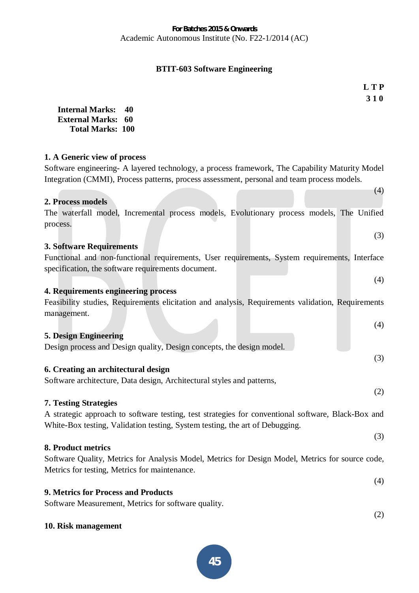# **BTIT-603 Software Engineering**

**L T P 3 1 0** 

(4)

(4)

(3)

(2)

(3)

(2)

| <b>Internal Marks:</b>    | 40 |
|---------------------------|----|
| <b>External Marks: 60</b> |    |
| <b>Total Marks: 100</b>   |    |

#### **1. A Generic view of process**

Software engineering- A layered technology, a process framework, The Capability Maturity Model Integration (CMMI), Process patterns, process assessment, personal and team process models.

#### **2. Process models**

# The waterfall model, Incremental process models, Evolutionary process models, The Unified process.

#### (3) **3. Software Requirements**

Functional and non-functional requirements, User requirements, System requirements, Interface specification, the software requirements document.

**4. Requirements engineering process** 

Feasibility studies, Requirements elicitation and analysis, Requirements validation, Requirements management.

# (4) **5. Design Engineering**  Design process and Design quality, Design concepts, the design model.

# **6. Creating an architectural design**

Software architecture, Data design, Architectural styles and patterns,

# **7. Testing Strategies**

A strategic approach to software testing, test strategies for conventional software, Black-Box and White-Box testing, Validation testing, System testing, the art of Debugging.

**8. Product metrics** 

Software Quality, Metrics for Analysis Model, Metrics for Design Model, Metrics for source code, Metrics for testing, Metrics for maintenance.

(4) **9. Metrics for Process and Products** 

Software Measurement, Metrics for software quality.

#### **10. Risk management**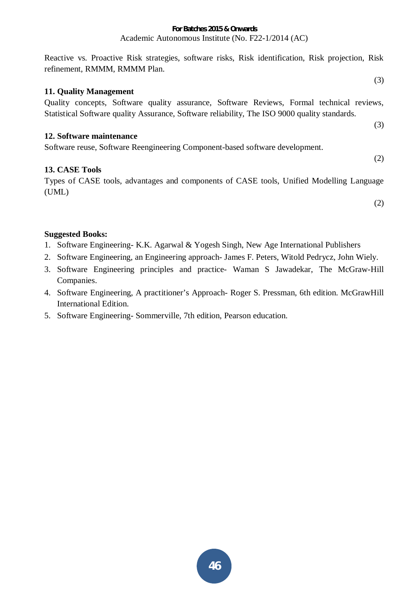Reactive vs. Proactive Risk strategies, software risks, Risk identification, Risk projection, Risk refinement, RMMM, RMMM Plan.

#### **11. Quality Management**

Quality concepts, Software quality assurance, Software Reviews, Formal technical reviews, Statistical Software quality Assurance, Software reliability, The ISO 9000 quality standards.

#### **12. Software maintenance**

Software reuse, Software Reengineering Component-based software development.

# **13. CASE Tools**

Types of CASE tools, advantages and components of CASE tools, Unified Modelling Language (UML)

(2)

(3)

(3)

(2)

- 1. Software Engineering- K.K. Agarwal & Yogesh Singh, New Age International Publishers
- 2. Software Engineering, an Engineering approach- James F. Peters, Witold Pedrycz, John Wiely.
- 3. Software Engineering principles and practice- Waman S Jawadekar, The McGraw-Hill Companies.
- 4. Software Engineering, A practitioner's Approach- Roger S. Pressman, 6th edition. McGrawHill International Edition.
- 5. Software Engineering- Sommerville, 7th edition, Pearson education.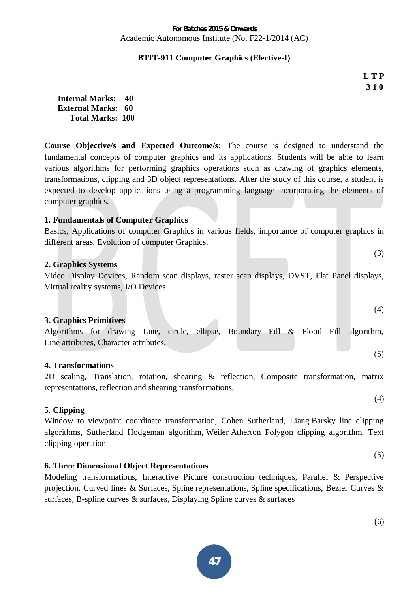#### **BTIT-911 Computer Graphics (Elective-I)**

**L T P 3 1 0** 

(3)

(4)

(5)

(4)

(5)

| <b>Internal Marks: 40</b> |  |
|---------------------------|--|
| <b>External Marks: 60</b> |  |
| <b>Total Marks: 100</b>   |  |

**Course Objective/s and Expected Outcome/s:** The course is designed to understand the fundamental concepts of computer graphics and its applications. Students will be able to learn various algorithms for performing graphics operations such as drawing of graphics elements, transformations, clipping and 3D object representations. After the study of this course, a student is expected to develop applications using a programming language incorporating the elements of computer graphics.

### **1. Fundamentals of Computer Graphics**

Basics, Applications of computer Graphics in various fields, importance of computer graphics in different areas, Evolution of computer Graphics.

#### **2. Graphics Systems**

Video Display Devices, Random scan displays, raster scan displays, DVST, Flat Panel displays, Virtual reality systems, I/O Devices

#### **3. Graphics Primitives**

Algorithms for drawing Line, circle, ellipse, Boundary Fill & Flood Fill algorithm, Line attributes, Character attributes,

#### **4. Transformations**

2D scaling, Translation, rotation, shearing & reflection, Composite transformation, matrix representations, reflection and shearing transformations,

#### **5. Clipping**

Window to viewpoint coordinate transformation, Cohen Sutherland, Liang Barsky line clipping algorithms, Sutherland Hodgeman algorithm, Weiler Atherton Polygon clipping algorithm. Text clipping operation

#### **6. Three Dimensional Object Representations**

Modeling transformations, Interactive Picture construction techniques, Parallel & Perspective projection, Curved lines & Surfaces, Spline representations, Spline specifications, Bezier Curves & surfaces, B-spline curves & surfaces, Displaying Spline curves & surfaces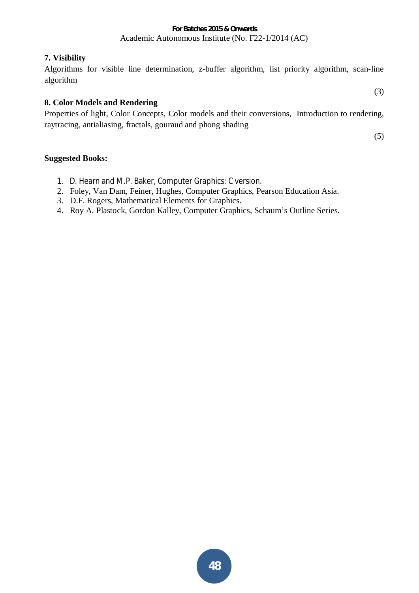# **7. Visibility**

Algorithms for visible line determination, z-buffer algorithm, list priority algorithm, scan-line algorithm

# **8. Color Models and Rendering**

Properties of light, Color Concepts, Color models and their conversions, Introduction to rendering, raytracing, antialiasing, fractals, gouraud and phong shading

(5)

(3)

- 1. D. Hearn and M.P. Baker, Computer Graphics: C version.
- 2. Foley, Van Dam, Feiner, Hughes, Computer Graphics, Pearson Education Asia.
- 3. D.F. Rogers, Mathematical Elements for Graphics.
- 4. Roy A. Plastock, Gordon Kalley, Computer Graphics, Schaum's Outline Series.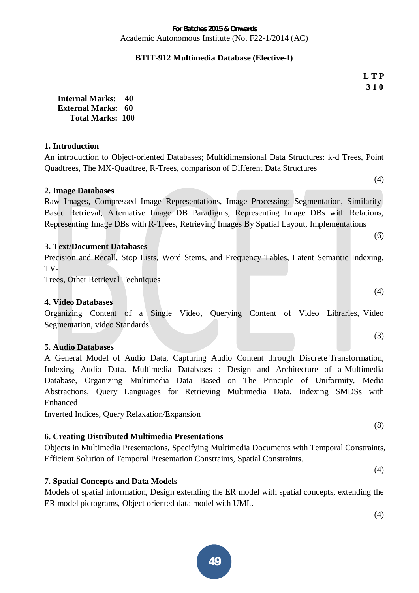#### **BTIT-912 Multimedia Database (Elective-I)**

**L T P 3 1 0** 

**Internal Marks: 40 External Marks: 60 Total Marks: 100** 

#### **1. Introduction**

An introduction to Object-oriented Databases; Multidimensional Data Structures: k-d Trees, Point Quadtrees, The MX-Quadtree, R-Trees, comparison of Different Data Structures

#### **2. Image Databases**

Raw Images, Compressed Image Representations, Image Processing: Segmentation, Similarity-Based Retrieval, Alternative Image DB Paradigms, Representing Image DBs with Relations, Representing Image DBs with R-Trees, Retrieving Images By Spatial Layout, Implementations

#### **3. Text/Document Databases**

Precision and Recall, Stop Lists, Word Stems, and Frequency Tables, Latent Semantic Indexing, TV-

Trees, Other Retrieval Techniques

#### **4. Video Databases**

Organizing Content of a Single Video, Querying Content of Video Libraries, Video Segmentation, video Standards

#### **5. Audio Databases**

A General Model of Audio Data, Capturing Audio Content through Discrete Transformation, Indexing Audio Data. Multimedia Databases : Design and Architecture of a Multimedia Database, Organizing Multimedia Data Based on The Principle of Uniformity, Media Abstractions, Query Languages for Retrieving Multimedia Data, Indexing SMDSs with Enhanced

Inverted Indices, Query Relaxation/Expansion

# **6. Creating Distributed Multimedia Presentations**

Objects in Multimedia Presentations, Specifying Multimedia Documents with Temporal Constraints, Efficient Solution of Temporal Presentation Constraints, Spatial Constraints.

# **7. Spatial Concepts and Data Models**

Models of spatial information, Design extending the ER model with spatial concepts, extending the ER model pictograms, Object oriented data model with UML.

(4)

(8)

(4)

(3)

(6)

(4)

(4)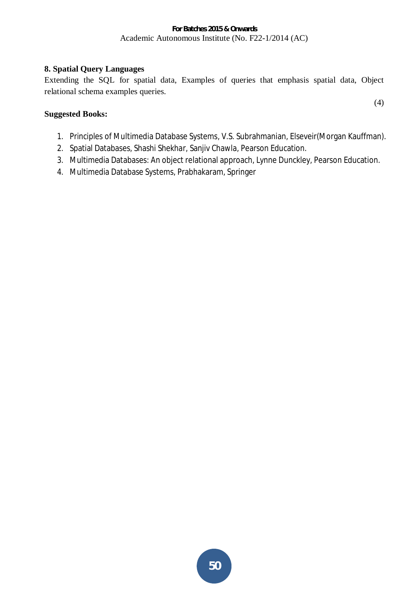# **8. Spatial Query Languages**

Extending the SQL for spatial data, Examples of queries that emphasis spatial data, Object relational schema examples queries.

### **Suggested Books:**

1. Principles of Multimedia Database Systems, V.S. Subrahmanian, Elseveir(Morgan Kauffman).

(4)

- 2. Spatial Databases, Shashi Shekhar, Sanjiv Chawla, Pearson Education.
- 3. Multimedia Databases: An object relational approach, Lynne Dunckley, Pearson Education.
- 4. Multimedia Database Systems, Prabhakaram, Springer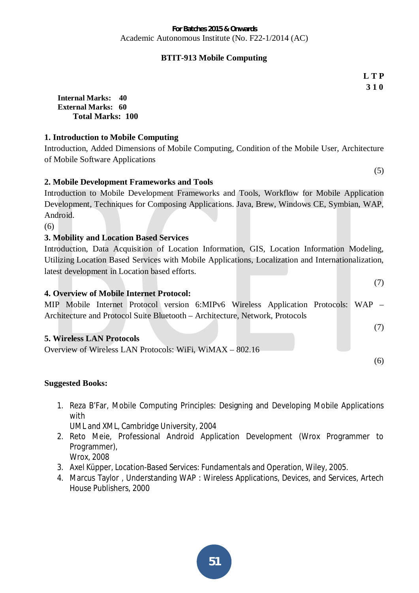# **BTIT-913 Mobile Computing**

**L T P 3 1 0** 

**Internal Marks: 40 External Marks: 60 Total Marks: 100** 

# **1. Introduction to Mobile Computing**

Introduction, Added Dimensions of Mobile Computing, Condition of the Mobile User, Architecture of Mobile Software Applications

# **2. Mobile Development Frameworks and Tools**

Introduction to Mobile Development Frameworks and Tools, Workflow for Mobile Application Development, Techniques for Composing Applications. Java, Brew, Windows CE, Symbian, WAP, Android.

(6)

# **3. Mobility and Location Based Services**

Introduction, Data Acquisition of Location Information, GIS, Location Information Modeling, Utilizing Location Based Services with Mobile Applications, Localization and Internationalization, latest development in Location based efforts.

# **4. Overview of Mobile Internet Protocol:**

MIP Mobile Internet Protocol version 6:MIPv6 Wireless Application Protocols: WAP – Architecture and Protocol Suite Bluetooth – Architecture, Network, Protocols

# **5. Wireless LAN Protocols**

| Overview of Wireless LAN Protocols: WiFi, WiMAX – 802.16 |  |  |  |  |
|----------------------------------------------------------|--|--|--|--|
|                                                          |  |  |  |  |

# **Suggested Books:**

1. Reza B'Far, Mobile Computing Principles: Designing and Developing Mobile Applications with

UML and XML, Cambridge University, 2004

- 2. Reto Meie, Professional Android Application Development (Wrox Programmer to Programmer), Wrox, 2008
- 3. Axel Küpper, Location-Based Services: Fundamentals and Operation, Wiley, 2005.
- 4. Marcus Taylor , Understanding WAP : Wireless Applications, Devices, and Services, Artech House Publishers, 2000

(7)

(5)

(6)

(7)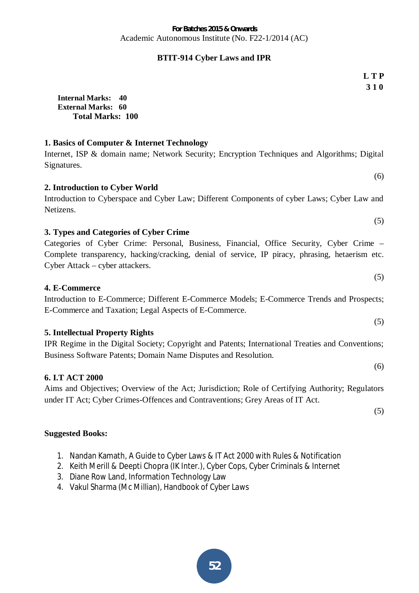# **BTIT-914 Cyber Laws and IPR**

 **3 1 0 Internal Marks: 40 External Marks: 60 Total Marks: 100 1. Basics of Computer & Internet Technology**  Internet, ISP & domain name; Network Security; Encryption Techniques and Algorithms; Digital Signatures. (6) **2. Introduction to Cyber World**  Introduction to Cyberspace and Cyber Law; Different Components of cyber Laws; Cyber Law and Netizens. (5) **3. Types and Categories of Cyber Crime** Categories of Cyber Crime: Personal, Business, Financial, Office Security, Cyber Crime – Complete transparency, hacking/cracking, denial of service, IP piracy, phrasing, hetaerism etc. Cyber Attack – cyber attackers. (5) **4. E-Commerce**  Introduction to E-Commerce; Different E-Commerce Models; E-Commerce Trends and Prospects; E-Commerce and Taxation; Legal Aspects of E-Commerce.

#### **5. Intellectual Property Rights**

IPR Regime in the Digital Society; Copyright and Patents; International Treaties and Conventions; Business Software Patents; Domain Name Disputes and Resolution.

#### **6. I.T ACT 2000**

Aims and Objectives; Overview of the Act; Jurisdiction; Role of Certifying Authority; Regulators under IT Act; Cyber Crimes-Offences and Contraventions; Grey Areas of IT Act.

(5)

# **Suggested Books:**

- 1. Nandan Kamath, A Guide to Cyber Laws & IT Act 2000 with Rules & Notification
- 2. Keith Merill & Deepti Chopra (IK Inter.), Cyber Cops, Cyber Criminals & Internet
- 3. Diane Row Land, Information Technology Law
- 4. Vakul Sharma (Mc Millian), Handbook of Cyber Laws

**L T P** 

- 
- (5)

(6)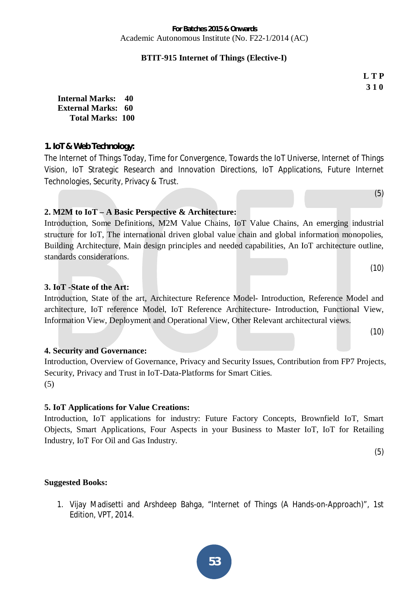#### **BTIT-915 Internet of Things (Elective-I)**

**L T P 3 1 0** 

(5)

(10)

(10)

**Internal Marks: 40 External Marks: 60 Total Marks: 100** 

### **1. IoT & Web Technology:**

The Internet of Things Today, Time for Convergence, Towards the IoT Universe, Internet of Things Vision, IoT Strategic Research and Innovation Directions, IoT Applications, Future Internet Technologies, Security, Privacy & Trust.

#### **2. M2M to IoT – A Basic Perspective & Architecture:**

Introduction, Some Definitions, M2M Value Chains, IoT Value Chains, An emerging industrial structure for IoT, The international driven global value chain and global information monopolies, Building Architecture, Main design principles and needed capabilities, An IoT architecture outline, standards considerations.

#### **3. IoT -State of the Art:**

Introduction, State of the art, Architecture Reference Model- Introduction, Reference Model and architecture, IoT reference Model, IoT Reference Architecture- Introduction, Functional View, Information View, Deployment and Operational View, Other Relevant architectural views.

#### **4. Security and Governance:**

Introduction, Overview of Governance, Privacy and Security Issues, Contribution from FP7 Projects, Security, Privacy and Trust in IoT-Data-Platforms for Smart Cities. (5)

#### **5. IoT Applications for Value Creations:**

Introduction, IoT applications for industry: Future Factory Concepts, Brownfield IoT, Smart Objects, Smart Applications, Four Aspects in your Business to Master IoT, IoT for Retailing Industry, IoT For Oil and Gas Industry.

(5)

# **Suggested Books:**

1. Vijay Madisetti and Arshdeep Bahga, "Internet of Things (A Hands-on-Approach)", 1st Edition, VPT, 2014.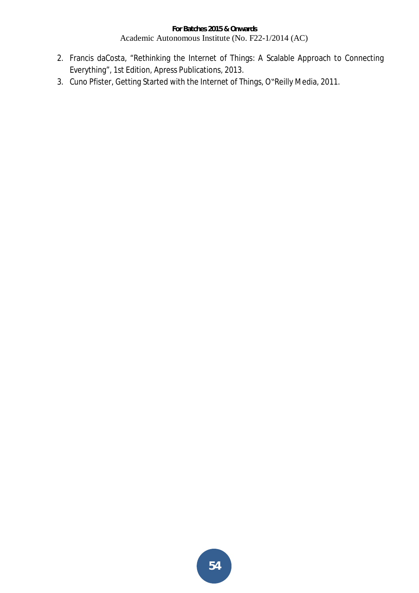- 2. Francis daCosta, "Rethinking the Internet of Things: A Scalable Approach to Connecting Everything", 1st Edition, Apress Publications, 2013.
- 3. Cuno Pfister, Getting Started with the Internet of Things, O"Reilly Media, 2011.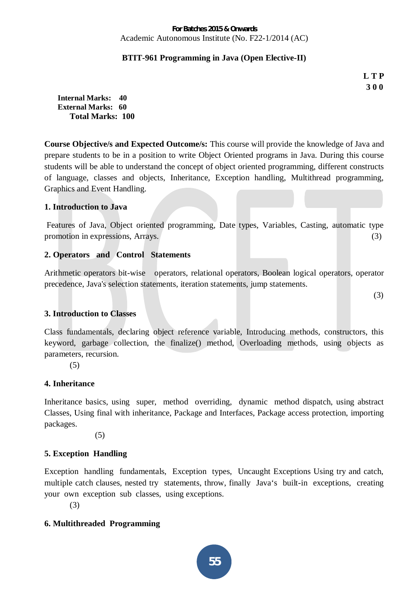# **BTIT-961 Programming in Java (Open Elective-II)**

**L T P 3 0 0** 

**Internal Marks: 40 External Marks: 60 Total Marks: 100** 

**Course Objective/s and Expected Outcome/s:** This course will provide the knowledge of Java and prepare students to be in a position to write Object Oriented programs in Java. During this course students will be able to understand the concept of object oriented programming, different constructs of language, classes and objects, Inheritance, Exception handling, Multithread programming, Graphics and Event Handling.

#### **1. Introduction to Java**

 Features of Java, Object oriented programming, Date types, Variables, Casting, automatic type promotion in expressions, Arrays. (3)

#### **2. Operators and Control Statements**

Arithmetic operators bit-wise operators, relational operators, Boolean logical operators, operator precedence, Java's selection statements, iteration statements, jump statements.

(3)

# **3. Introduction to Classes**

Class fundamentals, declaring object reference variable, Introducing methods, constructors, this keyword, garbage collection, the finalize() method, Overloading methods, using objects as parameters, recursion.

(5)

#### **4. Inheritance**

Inheritance basics, using super, method overriding, dynamic method dispatch, using abstract Classes, Using final with inheritance, Package and Interfaces, Package access protection, importing packages.

(5)

# **5. Exception Handling**

Exception handling fundamentals, Exception types, Uncaught Exceptions Using try and catch, multiple catch clauses, nested try statements, throw, finally Java's built-in exceptions, creating your own exception sub classes, using exceptions.

(3)

# **6. Multithreaded Programming**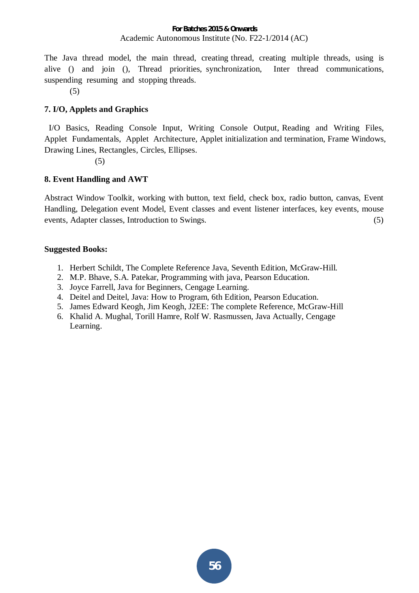The Java thread model, the main thread, creating thread, creating multiple threads, using is alive () and join (), Thread priorities, synchronization, Inter thread communications, suspending resuming and stopping threads.

(5)

# **7. I/O, Applets and Graphics**

 I/O Basics, Reading Console Input, Writing Console Output, Reading and Writing Files, Applet Fundamentals, Applet Architecture, Applet initialization and termination, Frame Windows, Drawing Lines, Rectangles, Circles, Ellipses.

(5)

# **8. Event Handling and AWT**

Abstract Window Toolkit, working with button, text field, check box, radio button, canvas, Event Handling, Delegation event Model, Event classes and event listener interfaces, key events, mouse events, Adapter classes, Introduction to Swings. (5)

- 1. Herbert Schildt, The Complete Reference Java, Seventh Edition, McGraw-Hill.
- 2. M.P. Bhave, S.A. Patekar, Programming with java, Pearson Education.
- 3. Joyce Farrell, Java for Beginners, Cengage Learning.
- 4. Deitel and Deitel, Java: How to Program, 6th Edition, Pearson Education.
- 5. James Edward Keogh, Jim Keogh, J2EE: The complete Reference, McGraw-Hill
- 6. Khalid A. Mughal, Torill Hamre, Rolf W. Rasmussen, Java Actually, Cengage Learning.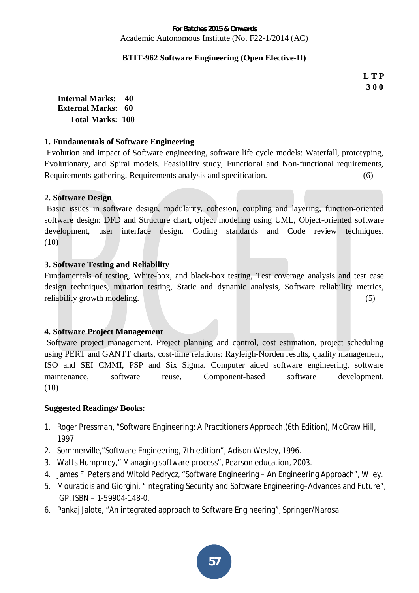# **BTIT-962 Software Engineering (Open Elective-II)**

**L T P 3 0 0** 

**Internal Marks: 40 External Marks: 60 Total Marks: 100** 

# **1. Fundamentals of Software Engineering**

Evolution and impact of Software engineering, software life cycle models: Waterfall, prototyping, Evolutionary, and Spiral models. Feasibility study, Functional and Non-functional requirements, Requirements gathering, Requirements analysis and specification. (6)

# **2. Software Design**

Basic issues in software design, modularity, cohesion, coupling and layering, function-oriented software design: DFD and Structure chart, object modeling using UML, Object-oriented software development, user interface design. Coding standards and Code review techniques. (10)

# **3. Software Testing and Reliability**

Fundamentals of testing, White-box, and black-box testing, Test coverage analysis and test case design techniques, mutation testing, Static and dynamic analysis, Software reliability metrics, reliability growth modeling. (5) (5)

# **4. Software Project Management**

Software project management, Project planning and control, cost estimation, project scheduling using PERT and GANTT charts, cost-time relations: Rayleigh-Norden results, quality management, ISO and SEI CMMI, PSP and Six Sigma. Computer aided software engineering, software maintenance, software reuse, Component-based software development. (10)

# **Suggested Readings/ Books:**

- 1. Roger Pressman, "Software Engineering: A Practitioners Approach,(6th Edition), McGraw Hill, 1997.
- 2. Sommerville,"Software Engineering, 7th edition", Adison Wesley, 1996.
- 3. Watts Humphrey," Managing software process", Pearson education, 2003.
- 4. James F. Peters and Witold Pedrycz, "Software Engineering An Engineering Approach", Wiley.
- 5. Mouratidis and Giorgini. "Integrating Security and Software Engineering–Advances and Future", IGP. ISBN – 1-59904-148-0.
- 6. Pankaj Jalote, "An integrated approach to Software Engineering", Springer/Narosa.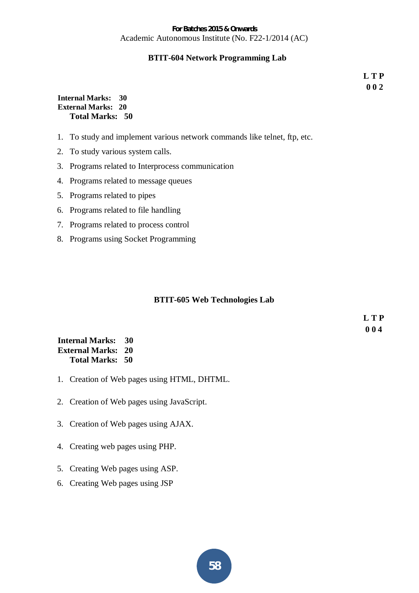#### **BTIT-604 Network Programming Lab**

**L T P 0 0 2** 

#### **Internal Marks: 30 External Marks: 20 Total Marks: 50**

- 1. To study and implement various network commands like telnet, ftp, etc.
- 2. To study various system calls.
- 3. Programs related to Interprocess communication
- 4. Programs related to message queues
- 5. Programs related to pipes
- 6. Programs related to file handling
- 7. Programs related to process control
- 8. Programs using Socket Programming

#### **BTIT-605 Web Technologies Lab**

**L T P 0 0 4** 

#### **Internal Marks: 30 External Marks: 20 Total Marks: 50**

- 1. Creation of Web pages using HTML, DHTML.
- 2. Creation of Web pages using JavaScript.
- 3. Creation of Web pages using AJAX.
- 4. Creating web pages using PHP.
- 5. Creating Web pages using ASP.
- 6. Creating Web pages using JSP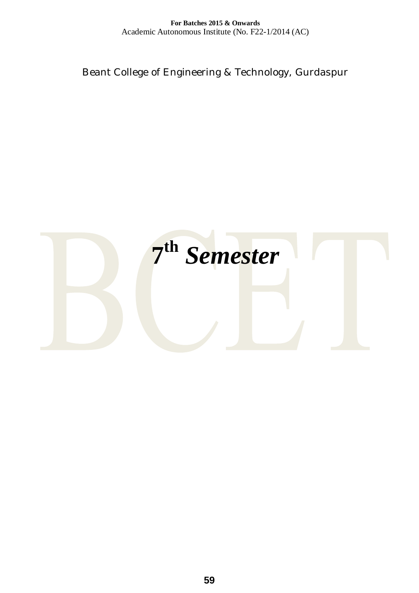Beant College of Engineering & Technology, Gurdaspur

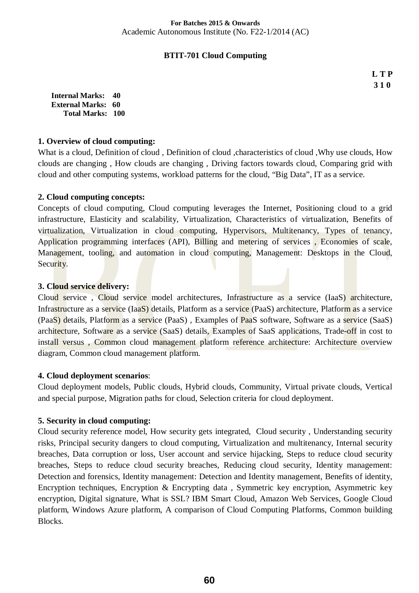#### **BTIT-701 Cloud Computing**

**L T P 3 1 0** 

**Internal Marks: 40 External Marks: 60 Total Marks: 100** 

#### **1. Overview of cloud computing:**

What is a cloud, Definition of cloud, Definition of cloud ,characteristics of cloud ,Why use clouds, How clouds are changing , How clouds are changing , Driving factors towards cloud, Comparing grid with cloud and other computing systems, workload patterns for the cloud, "Big Data", IT as a service.

#### **2. Cloud computing concepts:**

Concepts of cloud computing, Cloud computing leverages the Internet, Positioning cloud to a grid infrastructure, Elasticity and scalability, Virtualization, Characteristics of virtualization, Benefits of virtualization, Virtualization in cloud computing, Hypervisors, Multitenancy, Types of tenancy, Application programming interfaces (API), Billing and metering of services , Economies of scale, Management, tooling, and automation in cloud computing, Management: Desktops in the Cloud, Security.

#### **3. Cloud service delivery:**

Cloud service , Cloud service model architectures, Infrastructure as a service (IaaS) architecture, Infrastructure as a service (IaaS) details, Platform as a service (PaaS) architecture, Platform as a service (PaaS) details, Platform as a service (PaaS) , Examples of PaaS software, Software as a service (SaaS) architecture, Software as a service (SaaS) details, Examples of SaaS applications, Trade-off in cost to install versus , Common cloud management platform reference architecture: Architecture overview diagram, Common cloud management platform.

# **4. Cloud deployment scenarios**:

Cloud deployment models, Public clouds, Hybrid clouds, Community, Virtual private clouds, Vertical and special purpose, Migration paths for cloud, Selection criteria for cloud deployment.

# **5. Security in cloud computing:**

Cloud security reference model, How security gets integrated, Cloud security , Understanding security risks, Principal security dangers to cloud computing, Virtualization and multitenancy, Internal security breaches, Data corruption or loss, User account and service hijacking, Steps to reduce cloud security breaches, Steps to reduce cloud security breaches, Reducing cloud security, Identity management: Detection and forensics, Identity management: Detection and Identity management, Benefits of identity, Encryption techniques, Encryption & Encrypting data , Symmetric key encryption, Asymmetric key encryption, Digital signature, What is SSL? IBM Smart Cloud, Amazon Web Services, Google Cloud platform, Windows Azure platform, A comparison of Cloud Computing Platforms, Common building Blocks.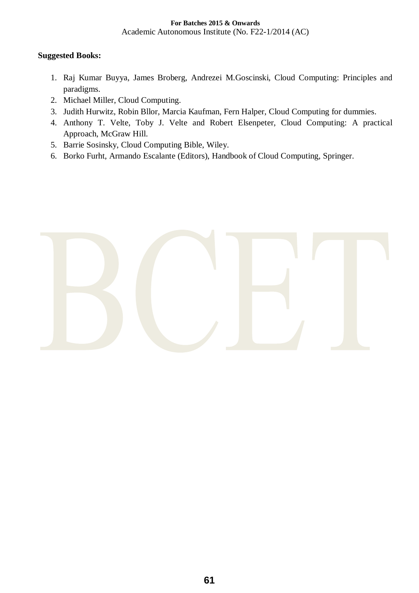- 1. Raj Kumar Buyya, James Broberg, Andrezei M.Goscinski, Cloud Computing: Principles and paradigms.
- 2. Michael Miller, Cloud Computing.
- 3. Judith Hurwitz, Robin Bllor, Marcia Kaufman, Fern Halper, Cloud Computing for dummies.
- 4. Anthony T. Velte, Toby J. Velte and Robert Elsenpeter, Cloud Computing: A practical Approach, McGraw Hill.
- 5. Barrie Sosinsky, Cloud Computing Bible, Wiley.
- 6. Borko Furht, Armando Escalante (Editors), Handbook of Cloud Computing, Springer.

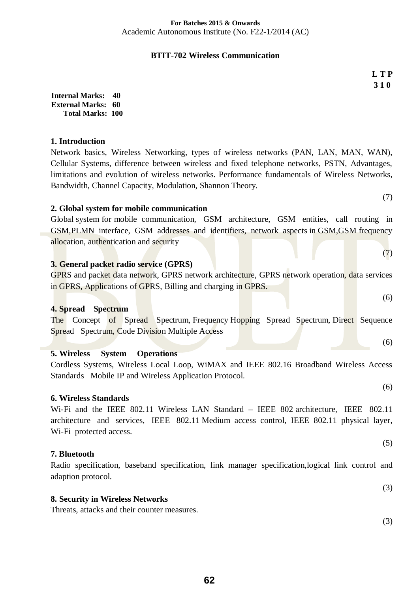# **BTIT-702 Wireless Communication**

**L T P 3 1 0** 

**Internal Marks: 40 External Marks: 60 Total Marks: 100** 

#### **1. Introduction**

Network basics, Wireless Networking, types of wireless networks (PAN, LAN, MAN, WAN), Cellular Systems, difference between wireless and fixed telephone networks, PSTN, Advantages, limitations and evolution of wireless networks. Performance fundamentals of Wireless Networks, Bandwidth, Channel Capacity, Modulation, Shannon Theory.

# **2. Global system for mobile communication**

Global system for mobile communication, GSM architecture, GSM entities, call routing in GSM,PLMN interface, GSM addresses and identifiers, network aspects in GSM,GSM frequency allocation, authentication and security

# **3. General packet radio service (GPRS)**

GPRS and packet data network, GPRS network architecture, GPRS network operation, data services in GPRS, Applications of GPRS, Billing and charging in GPRS.

#### **4. Spread Spectrum**

The Concept of Spread Spectrum, Frequency Hopping Spread Spectrum, Direct Sequence Spread Spectrum, Code Division Multiple Access

# **5. Wireless System Operations**

Cordless Systems, Wireless Local Loop, WiMAX and IEEE 802.16 Broadband Wireless Access Standards Mobile IP and Wireless Application Protocol.

#### **6. Wireless Standards**

Wi-Fi and the IEEE 802.11 Wireless LAN Standard – IEEE 802 architecture, IEEE 802.11 architecture and services, IEEE 802.11 Medium access control, IEEE 802.11 physical layer, Wi-Fi protected access.

#### **7. Bluetooth**

Radio specification, baseband specification, link manager specification,logical link control and adaption protocol.

#### **8. Security in Wireless Networks**

Threats, attacks and their counter measures.

(5)

(3)

(3)

(6)

(7)

(7)

(6)

(6)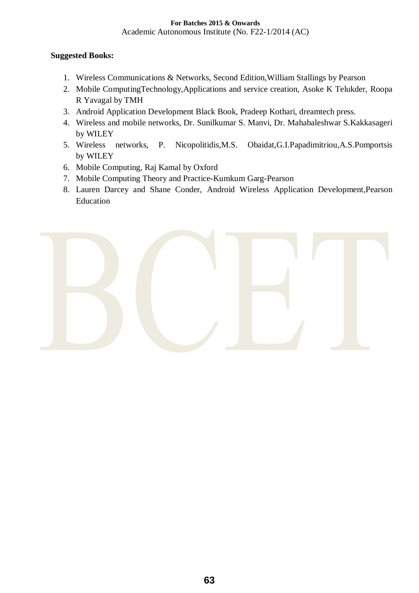- 1. Wireless Communications & Networks, Second Edition,William Stallings by Pearson
- 2. Mobile ComputingTechnology,Applications and service creation, Asoke K Telukder, Roopa R Yavagal by TMH
- 3. Android Application Development Black Book, Pradeep Kothari, dreamtech press.
- 4. Wireless and mobile networks, Dr. Sunilkumar S. Manvi, Dr. Mahabaleshwar S.Kakkasageri by WILEY
- 5. Wireless networks, P. Nicopolitidis,M.S. Obaidat,G.I.Papadimitriou,A.S.Pomportsis by WILEY
- 6. Mobile Computing, Raj Kamal by Oxford
- 7. Mobile Computing Theory and Practice-Kumkum Garg-Pearson
- 8. Lauren Darcey and Shane Conder, Android Wireless Application Development,Pearson Education

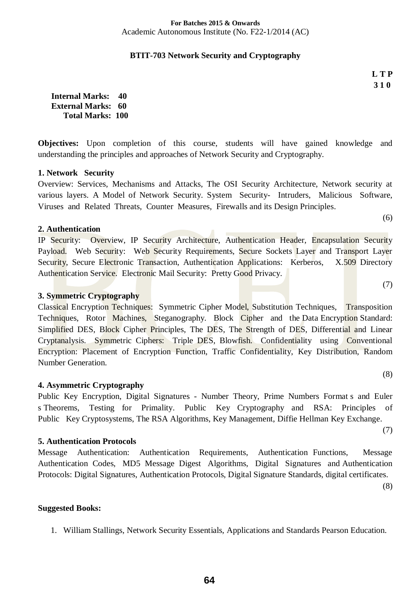#### **BTIT-703 Network Security and Cryptography**

**L T P 3 1 0** 

(6)

(7)

(8)

**Internal Marks: 40 External Marks: 60 Total Marks: 100** 

**Objectives:** Upon completion of this course, students will have gained knowledge and understanding the principles and approaches of Network Security and Cryptography.

# **1. Network Security**

Overview: Services, Mechanisms and Attacks, The OSI Security Architecture, Network security at various layers. A Model of Network Security. System Security- Intruders, Malicious Software, Viruses and Related Threats, Counter Measures, Firewalls and its Design Principles.

#### **2. Authentication**

IP Security: Overview, IP Security Architecture, Authentication Header, Encapsulation Security Payload. Web Security: Web Security Requirements, Secure Sockets Layer and Transport Layer Security, Secure Electronic Transaction, Authentication Applications: Kerberos, X.509 Directory Authentication Service. Electronic Mail Security: Pretty Good Privacy.

# **3. Symmetric Cryptography**

Classical Encryption Techniques: Symmetric Cipher Model, Substitution Techniques, Transposition Techniques, Rotor Machines, Steganography. Block Cipher and the Data Encryption Standard: Simplified DES, Block Cipher Principles, The DES, The Strength of DES, Differential and Linear Cryptanalysis. Symmetric Ciphers: Triple DES, Blowfish. Confidentiality using Conventional Encryption: Placement of Encryption Function, Traffic Confidentiality, Key Distribution, Random Number Generation.

# **4. Asymmetric Cryptography**

Public Key Encryption, Digital Signatures - Number Theory, Prime Numbers Format s and Euler s Theorems, Testing for Primality. Public Key Cryptography and RSA: Principles of Public Key Cryptosystems, The RSA Algorithms, Key Management, Diffie Hellman Key Exchange.

#### **5. Authentication Protocols**

Message Authentication: Authentication Requirements, Authentication Functions, Message Authentication Codes, MD5 Message Digest Algorithms, Digital Signatures and Authentication Protocols: Digital Signatures, Authentication Protocols, Digital Signature Standards, digital certificates.

(8)

(7)

#### **Suggested Books:**

1. William Stallings, Network Security Essentials, Applications and Standards Pearson Education.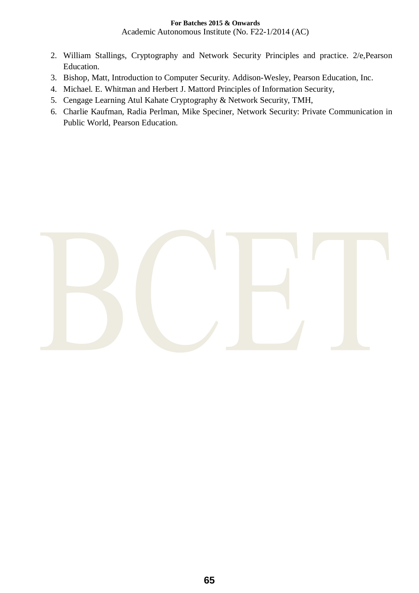### **For Batches 2015 & Onwards**

Academic Autonomous Institute (No. F22-1/2014 (AC)

- 2. William Stallings, Cryptography and Network Security Principles and practice. 2/e,Pearson Education.
- 3. Bishop, Matt, Introduction to Computer Security. Addison-Wesley, Pearson Education, Inc.
- 4. Michael. E. Whitman and Herbert J. Mattord Principles of Information Security,
- 5. Cengage Learning Atul Kahate Cryptography & Network Security, TMH,
- 6. Charlie Kaufman, Radia Perlman, Mike Speciner, Network Security: Private Communication in Public World, Pearson Education.

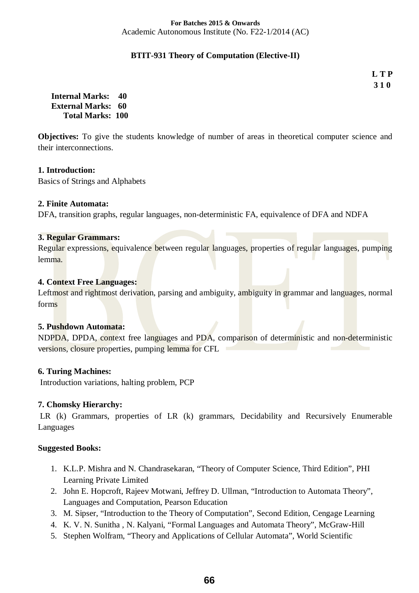#### **BTIT-931 Theory of Computation (Elective-II)**

**L T P 3 1 0** 

**Internal Marks: 40 External Marks: 60 Total Marks: 100** 

**Objectives:** To give the students knowledge of number of areas in theoretical computer science and their interconnections.

#### **1. Introduction:**

Basics of Strings and Alphabets

#### **2. Finite Automata:**

DFA, transition graphs, regular languages, non-deterministic FA, equivalence of DFA and NDFA

#### **3. Regular Grammars:**

Regular expressions, equivalence between regular languages, properties of regular languages, pumping lemma.

#### **4. Context Free Languages:**

Leftmost and rightmost derivation, parsing and ambiguity, ambiguity in grammar and languages, normal forms

#### **5. Pushdown Automata:**

NDPDA, DPDA, context free languages and PDA, comparison of deterministic and non-deterministic versions, closure properties, pumping lemma for CFL

# **6. Turing Machines:**

Introduction variations, halting problem, PCP

# **7. Chomsky Hierarchy:**

 LR (k) Grammars, properties of LR (k) grammars, Decidability and Recursively Enumerable Languages

- 1. K.L.P. Mishra and N. Chandrasekaran, "Theory of Computer Science, Third Edition", PHI Learning Private Limited
- 2. John E. Hopcroft, Rajeev Motwani, Jeffrey D. Ullman, "Introduction to Automata Theory", Languages and Computation, Pearson Education
- 3. M. Sipser, "Introduction to the Theory of Computation", Second Edition, Cengage Learning
- 4. K. V. N. Sunitha , N. Kalyani, "Formal Languages and Automata Theory", McGraw-Hill
- 5. Stephen Wolfram, "Theory and Applications of Cellular Automata", World Scientific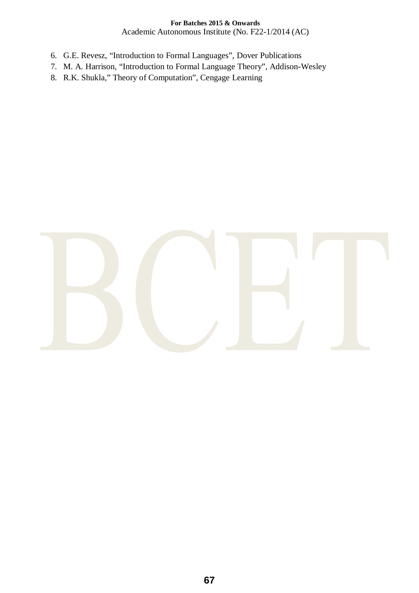# **For Batches 2015 & Onwards**

Academic Autonomous Institute (No. F22-1/2014 (AC)

- 6. G.E. Revesz, "Introduction to Formal Languages", Dover Publications
- 7. M. A. Harrison, "Introduction to Formal Language Theory", Addison-Wesley
- 8. R.K. Shukla," Theory of Computation", Cengage Learning

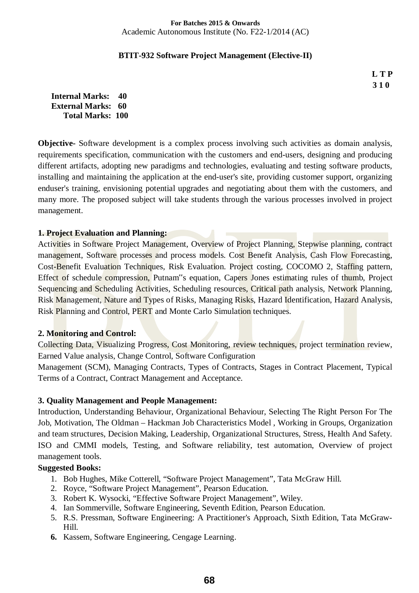#### **BTIT-932 Software Project Management (Elective-II)**

**L T P 3 1 0** 

**Internal Marks: 40 External Marks: 60 Total Marks: 100** 

**Objective-** Software development is a complex process involving such activities as domain analysis, requirements specification, communication with the customers and end-users, designing and producing different artifacts, adopting new paradigms and technologies, evaluating and testing software products, installing and maintaining the application at the end-user's site, providing customer support, organizing enduser's training, envisioning potential upgrades and negotiating about them with the customers, and many more. The proposed subject will take students through the various processes involved in project management.

#### **1. Project Evaluation and Planning:**

Activities in Software Project Management, Overview of Project Planning, Stepwise planning, contract management, Software processes and process models. Cost Benefit Analysis, Cash Flow Forecasting, Cost-Benefit Evaluation Techniques, Risk Evaluation. Project costing, COCOMO 2, Staffing pattern, Effect of schedule compression, Putnam<sup>"s</sup> equation, Capers Jones estimating rules of thumb, Project Sequencing and Scheduling Activities, Scheduling resources, Critical path analysis, Network Planning, Risk Management, Nature and Types of Risks, Managing Risks, Hazard Identification, Hazard Analysis, Risk Planning and Control, PERT and Monte Carlo Simulation techniques.

#### **2. Monitoring and Control:**

Collecting Data, Visualizing Progress, Cost Monitoring, review techniques, project termination review, Earned Value analysis, Change Control, Software Configuration

Management (SCM), Managing Contracts, Types of Contracts, Stages in Contract Placement, Typical Terms of a Contract, Contract Management and Acceptance.

# **3. Quality Management and People Management:**

Introduction, Understanding Behaviour, Organizational Behaviour, Selecting The Right Person For The Job, Motivation, The Oldman – Hackman Job Characteristics Model , Working in Groups, Organization and team structures, Decision Making, Leadership, Organizational Structures, Stress, Health And Safety. ISO and CMMI models, Testing, and Software reliability, test automation, Overview of project management tools.

- 1. Bob Hughes, Mike Cotterell, "Software Project Management", Tata McGraw Hill.
- 2. Royce, "Software Project Management", Pearson Education.
- 3. Robert K. Wysocki, "Effective Software Project Management", Wiley.
- 4. Ian Sommerville, Software Engineering, Seventh Edition, Pearson Education.
- 5. R.S. Pressman, Software Engineering: A Practitioner's Approach, Sixth Edition, Tata McGraw-Hill.
- **6.** Kassem, Software Engineering, Cengage Learning.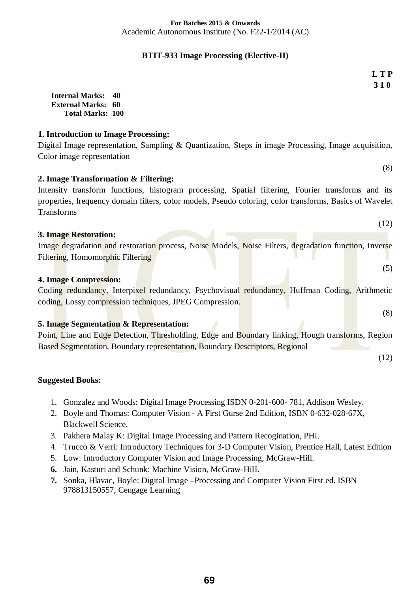#### **BTIT-933 Image Processing (Elective-II)**

**L T P 3 1 0** 

(8)

(12)

(12)

**Internal Marks: 40 External Marks: 60 Total Marks: 100** 

### **1. Introduction to Image Processing:**

Digital Image representation, Sampling & Quantization, Steps in image Processing, Image acquisition, Color image representation

**2. Image Transformation & Filtering:** 

Intensity transform functions, histogram processing, Spatial filtering, Fourier transforms and its properties, frequency domain filters, color models, Pseudo coloring, color transforms, Basics of Wavelet Transforms

| <b>3. Image Restoration:</b>                                                                          |     |
|-------------------------------------------------------------------------------------------------------|-----|
| Image degradation and restoration process, Noise Models, Noise Filters, degradation function, Inverse |     |
| Filtering, Homomorphic Filtering                                                                      |     |
|                                                                                                       | (5) |
| 4. Image Compression:                                                                                 |     |
| Coding redundancy, Interpixel redundancy, Psychovisual redundancy, Huffman Coding, Arithmetic         |     |
| coding, Lossy compression techniques, JPEG Compression.                                               |     |
|                                                                                                       | (8) |
| <b>5. Image Segmentation &amp; Representation:</b>                                                    |     |
| Point, Line and Edge Detection, Thresholding, Edge and Boundary linking, Hough transforms, Region     |     |

Based Segmentation, Boundary representation, Boundary Descriptors, Regional

- 1. Gonzalez and Woods: Digital Image Processing ISDN 0-201-600- 781, Addison Wesley.
- 2. Boyle and Thomas: Computer Vision A First Gurse 2nd Edition, ISBN 0-632-028-67X, Blackwell Science.
- 3. Pakhera Malay K: Digital Image Processing and Pattern Recogination, PHI.
- 4. Trucco & Verri: Introductory Techniques for 3-D Computer Vision, Prentice Hall, Latest Edition
- 5. Low: Introductory Computer Vision and Image Processing, McGraw-Hill.
- **6.** Jain, Kasturi and Schunk: Machine Vision, McGraw-HiII.
- **7.** Sonka, Hlavac, Boyle: Digital Image –Processing and Computer Vision First ed. ISBN 978813150557, Cengage Learning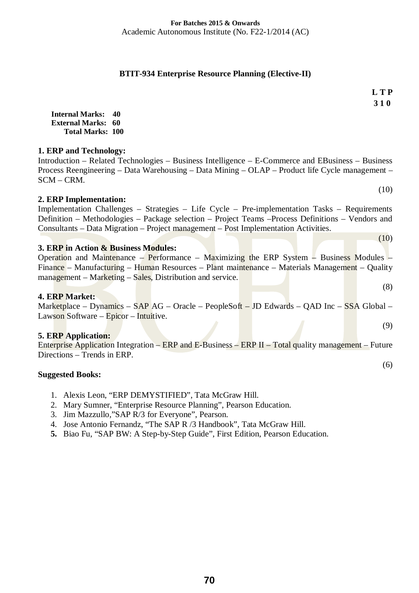#### **BTIT-934 Enterprise Resource Planning (Elective-II)**

**L T P 3 1 0** 

 $(10)$ 

(10)

(8)

(9)

(6)

**Internal Marks: 40 External Marks: 60 Total Marks: 100** 

#### **1. ERP and Technology:**

Introduction – Related Technologies – Business Intelligence – E-Commerce and EBusiness – Business Process Reengineering – Data Warehousing – Data Mining – OLAP – Product life Cycle management – SCM – CRM.

# **2. ERP Implementation:**

Implementation Challenges – Strategies – Life Cycle – Pre-implementation Tasks – Requirements Definition – Methodologies – Package selection – Project Teams –Process Definitions – Vendors and Consultants – Data Migration – Project management – Post Implementation Activities.

# **3. ERP in Action & Business Modules:**

|  |  |  | Operation and Maintenance – Performance – Maximizing the ERP System – Business Modules –       |  |  |  |  |
|--|--|--|------------------------------------------------------------------------------------------------|--|--|--|--|
|  |  |  | Finance – Manufacturing – Human Resources – Plant maintenance – Materials Management – Quality |  |  |  |  |
|  |  |  | $mana$ generat – Marketing – Sales, Distribution and service.                                  |  |  |  |  |

#### **4. ERP Market:**

Marketplace – Dynamics – SAP AG – Oracle – PeopleSoft – JD Edwards – QAD Inc – SSA Global – Lawson Software – Epicor – Intuitive.

# **5. ERP Application:**

Enterprise Application Integration – ERP and E-Business – ERP II – Total quality management – Future Directions – Trends in ERP.

- 1. Alexis Leon, "ERP DEMYSTIFIED", Tata McGraw Hill.
- 2. Mary Sumner, "Enterprise Resource Planning", Pearson Education.
- 3. Jim Mazzullo,"SAP R/3 for Everyone", Pearson.
- 4. Jose Antonio Fernandz, "The SAP R /3 Handbook", Tata McGraw Hill.
- **5.** Biao Fu, "SAP BW: A Step-by-Step Guide", First Edition, Pearson Education.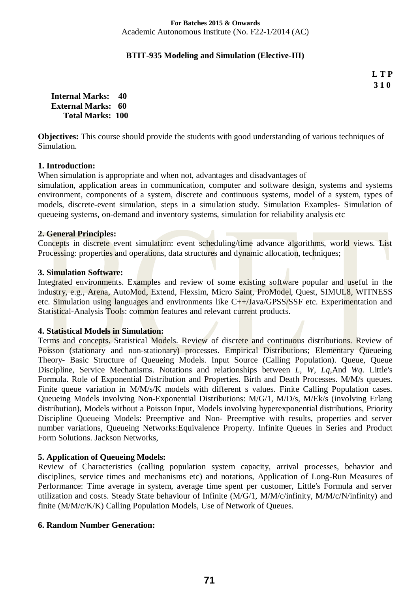#### **BTIT-935 Modeling and Simulation (Elective-III)**

**L T P 3 1 0** 

| <b>Internal Marks:</b>    | 40 |
|---------------------------|----|
| <b>External Marks: 60</b> |    |
| <b>Total Marks: 100</b>   |    |

**Objectives:** This course should provide the students with good understanding of various techniques of Simulation.

#### **1. Introduction:**

When simulation is appropriate and when not, advantages and disadvantages of

simulation, application areas in communication, computer and software design, systems and systems environment, components of a system, discrete and continuous systems, model of a system, types of models, discrete-event simulation, steps in a simulation study. Simulation Examples- Simulation of queueing systems, on-demand and inventory systems, simulation for reliability analysis etc

#### **2. General Principles:**

Concepts in discrete event simulation: event scheduling/time advance algorithms, world views. List Processing: properties and operations, data structures and dynamic allocation, techniques;

#### **3. Simulation Software:**

Integrated environments. Examples and review of some existing software popular and useful in the industry, e.g., Arena, AutoMod, Extend, Flexsim, Micro Saint, ProModel, Quest, SIMUL8, WITNESS etc. Simulation using languages and environments like  $C++/Jawa/GPSS/SSF$  etc. Experimentation and Statistical-Analysis Tools: common features and relevant current products.

#### **4. Statistical Models in Simulation:**

Terms and concepts. Statistical Models. Review of discrete and continuous distributions. Review of Poisson (stationary and non-stationary) processes. Empirical Distributions; Elementary Queueing Theory- Basic Structure of Queueing Models. Input Source (Calling Population). Queue, Queue Discipline, Service Mechanisms. Notations and relationships between *L, W, Lq,*And *Wq.* Little's Formula. Role of Exponential Distribution and Properties. Birth and Death Processes. M/M/s queues. Finite queue variation in M/M/s/K models with different s values. Finite Calling Population cases. Queueing Models involving Non-Exponential Distributions: M/G/1, M/D/s, M/Ek/s (involving Erlang distribution), Models without a Poisson Input, Models involving hyperexponential distributions, Priority Discipline Queueing Models: Preemptive and Non- Preemptive with results, properties and server number variations, Queueing Networks:Equivalence Property. Infinite Queues in Series and Product Form Solutions. Jackson Networks,

# **5. Application of Queueing Models:**

Review of Characteristics (calling population system capacity, arrival processes, behavior and disciplines, service times and mechanisms etc) and notations, Application of Long-Run Measures of Performance: Time average in system, average time spent per customer, Little's Formula and server utilization and costs. Steady State behaviour of Infinite (M/G/1, M/M/c/infinity, M/M/c/N/infinity) and finite (M/M/c/K/K) Calling Population Models, Use of Network of Queues.

# **6. Random Number Generation:**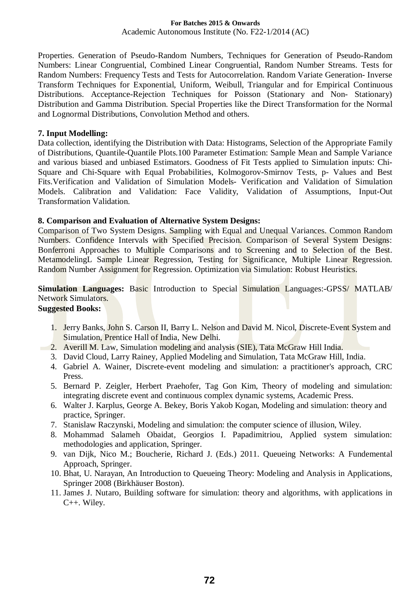# **For Batches 2015 & Onwards**

Academic Autonomous Institute (No. F22-1/2014 (AC)

Properties. Generation of Pseudo-Random Numbers, Techniques for Generation of Pseudo-Random Numbers: Linear Congruential, Combined Linear Congruential, Random Number Streams. Tests for Random Numbers: Frequency Tests and Tests for Autocorrelation. Random Variate Generation- Inverse Transform Techniques for Exponential, Uniform, Weibull, Triangular and for Empirical Continuous Distributions. Acceptance-Rejection Techniques for Poisson (Stationary and Non- Stationary) Distribution and Gamma Distribution. Special Properties like the Direct Transformation for the Normal and Lognormal Distributions, Convolution Method and others.

#### **7. Input Modelling:**

Data collection, identifying the Distribution with Data: Histograms, Selection of the Appropriate Family of Distributions, Quantile-Quantile Plots.100 Parameter Estimation: Sample Mean and Sample Variance and various biased and unbiased Estimators. Goodness of Fit Tests applied to Simulation inputs: Chi-Square and Chi-Square with Equal Probabilities, Kolmogorov-Smirnov Tests, p- Values and Best Fits.Verification and Validation of Simulation Models- Verification and Validation of Simulation Models. Calibration and Validation: Face Validity, Validation of Assumptions, Input-Out Transformation Validation.

#### **8. Comparison and Evaluation of Alternative System Designs:**

Comparison of Two System Designs. Sampling with Equal and Unequal Variances. Common Random Numbers. Confidence Intervals with Specified Precision. Comparison of Several System Designs: Bonferroni Approaches to Multiple Comparisons and to Screening and to Selection of the Best. Metamodeling L Sample Linear Regression, Testing for Significance, Multiple Linear Regression. Random Number Assignment for Regression. Optimization via Simulation: Robust Heuristics.

**Simulation Languages:** Basic Introduction to Special Simulation Languages:-GPSS/ MATLAB/ Network Simulators.

- 1. Jerry Banks, John S. Carson II, Barry L. Nelson and David M. Nicol, Discrete-Event System and Simulation, Prentice Hall of India, New Delhi.
- 2. Averill M. Law, Simulation modeling and analysis (SIE), Tata McGraw Hill India.
- 3. David Cloud, Larry Rainey, Applied Modeling and Simulation, Tata McGraw Hill, India.
- 4. Gabriel A. Wainer, Discrete-event modeling and simulation: a practitioner's approach, CRC Press.
- 5. Bernard P. Zeigler, Herbert Praehofer, Tag Gon Kim, Theory of modeling and simulation: integrating discrete event and continuous complex dynamic systems, Academic Press.
- 6. Walter J. Karplus, George A. Bekey, Boris Yakob Kogan, Modeling and simulation: theory and practice, Springer.
- 7. Stanislaw Raczynski, Modeling and simulation: the computer science of illusion, Wiley.
- 8. Mohammad Salameh Obaidat, Georgios I. Papadimitriou, Applied system simulation: methodologies and application, Springer.
- 9. van Dijk, Nico M.; Boucherie, Richard J. (Eds.) 2011. Queueing Networks: A Fundemental Approach, Springer.
- 10. Bhat, U. Narayan, An Introduction to Queueing Theory: Modeling and Analysis in Applications, Springer 2008 (Birkhäuser Boston).
- 11. James J. Nutaro, Building software for simulation: theory and algorithms, with applications in C++. Wiley.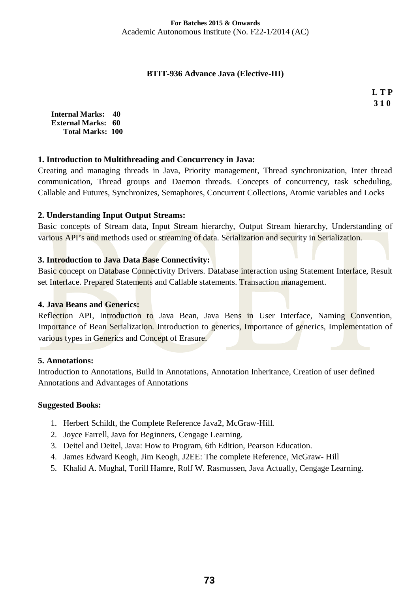### **BTIT-936 Advance Java (Elective-III)**

**L T P 3 1 0** 

**Internal Marks: 40 External Marks: 60 Total Marks: 100** 

## **1. Introduction to Multithreading and Concurrency in Java:**

Creating and managing threads in Java, Priority management, Thread synchronization, Inter thread communication. Thread groups and Daemon threads. Concepts of concurrency, task scheduling, Callable and Futures, Synchronizes, Semaphores, Concurrent Collections, Atomic variables and Locks

## **2. Understanding Input Output Streams:**

Basic concepts of Stream data, Input Stream hierarchy, Output Stream hierarchy, Understanding of various API's and methods used or streaming of data. Serialization and security in Serialization.

## **3. Introduction to Java Data Base Connectivity:**

Basic concept on Database Connectivity Drivers. Database interaction using Statement Interface, Result set Interface. Prepared Statements and Callable statements. Transaction management.

### **4. Java Beans and Generics:**

Reflection API, Introduction to Java Bean, Java Bens in User Interface, Naming Convention, Importance of Bean Serialization. Introduction to generics, Importance of generics, Implementation of various types in Generics and Concept of Erasure.

### **5. Annotations:**

Introduction to Annotations, Build in Annotations, Annotation Inheritance, Creation of user defined Annotations and Advantages of Annotations

### **Suggested Books:**

- 1. Herbert Schildt, the Complete Reference Java2, McGraw-Hill.
- 2. Joyce Farrell, Java for Beginners, Cengage Learning.
- 3. Deitel and Deitel, Java: How to Program, 6th Edition, Pearson Education.
- 4. James Edward Keogh, Jim Keogh, J2EE: The complete Reference, McGraw- Hill
- 5. Khalid A. Mughal, Torill Hamre, Rolf W. Rasmussen, Java Actually, Cengage Learning.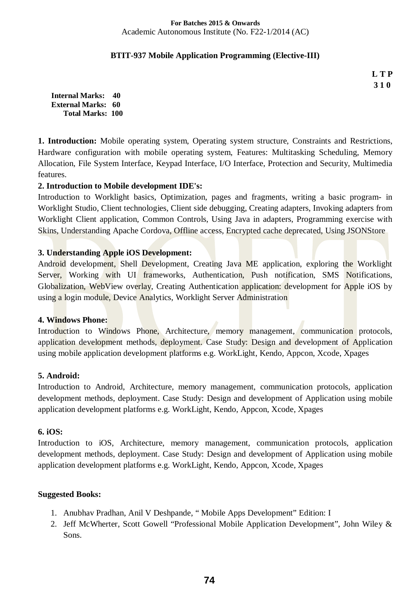### **BTIT-937 Mobile Application Programming (Elective-III)**

**L T P 3 1 0** 

**Internal Marks: 40 External Marks: 60 Total Marks: 100** 

**1. Introduction:** Mobile operating system, Operating system structure, Constraints and Restrictions, Hardware configuration with mobile operating system, Features: Multitasking Scheduling, Memory Allocation, File System Interface, Keypad Interface, I/O Interface, Protection and Security, Multimedia features.

## **2. Introduction to Mobile development IDE's:**

Introduction to Worklight basics, Optimization, pages and fragments, writing a basic program- in Worklight Studio, Client technologies, Client side debugging, Creating adapters, Invoking adapters from Worklight Client application, Common Controls, Using Java in adapters, Programming exercise with Skins, Understanding Apache Cordova, Offline access, Encrypted cache deprecated, Using JSONStore

## **3. Understanding Apple iOS Development:**

Android development, Shell Development, Creating Java ME application, exploring the Worklight Server, Working with UI frameworks, Authentication, Push notification, SMS Notifications, Globalization, WebView overlay, Creating Authentication application: development for Apple iOS by using a login module, Device Analytics, Worklight Server Administration

### **4. Windows Phone:**

Introduction to Windows Phone, Architecture, memory management, communication protocols, application development methods, deployment. Case Study: Design and development of Application using mobile application development platforms e.g. WorkLight, Kendo, Appcon, Xcode, Xpages

### **5. Android:**

Introduction to Android, Architecture, memory management, communication protocols, application development methods, deployment. Case Study: Design and development of Application using mobile application development platforms e.g. WorkLight, Kendo, Appcon, Xcode, Xpages

### **6. iOS:**

Introduction to iOS, Architecture, memory management, communication protocols, application development methods, deployment. Case Study: Design and development of Application using mobile application development platforms e.g. WorkLight, Kendo, Appcon, Xcode, Xpages

### **Suggested Books:**

- 1. Anubhav Pradhan, Anil V Deshpande, " Mobile Apps Development" Edition: I
- 2. Jeff McWherter, Scott Gowell "Professional Mobile Application Development", John Wiley & Sons.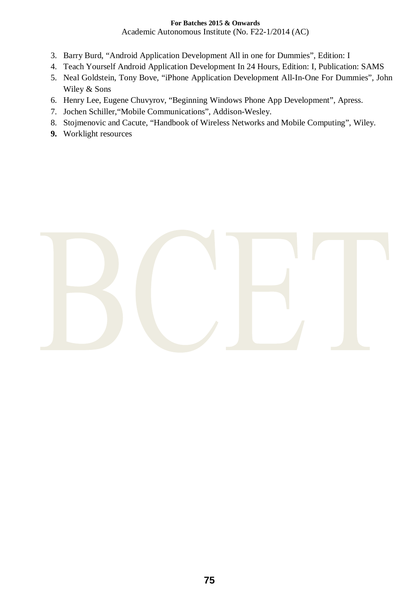## **For Batches 2015 & Onwards**

Academic Autonomous Institute (No. F22-1/2014 (AC)

- 3. Barry Burd, "Android Application Development All in one for Dummies", Edition: I
- 4. Teach Yourself Android Application Development In 24 Hours, Edition: I, Publication: SAMS
- 5. Neal Goldstein, Tony Bove, "iPhone Application Development All-In-One For Dummies", John Wiley & Sons
- 6. Henry Lee, Eugene Chuvyrov, "Beginning Windows Phone App Development", Apress.
- 7. Jochen Schiller,"Mobile Communications", Addison-Wesley.
- 8. Stojmenovic and Cacute, "Handbook of Wireless Networks and Mobile Computing", Wiley.
- **9.** Worklight resources

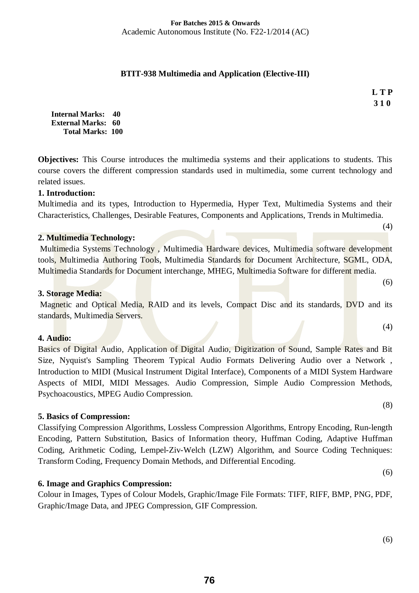## **BTIT-938 Multimedia and Application (Elective-III)**

**L T P 3 1 0** 

(4)

(6)

(4)

(8)

**Internal Marks: 40 External Marks: 60 Total Marks: 100** 

**Objectives:** This Course introduces the multimedia systems and their applications to students. This course covers the different compression standards used in multimedia, some current technology and related issues.

## **1. Introduction:**

Multimedia and its types, Introduction to Hypermedia, Hyper Text, Multimedia Systems and their Characteristics, Challenges, Desirable Features, Components and Applications, Trends in Multimedia.

### **2. Multimedia Technology:**

Multimedia Systems Technology , Multimedia Hardware devices, Multimedia software development tools, Multimedia Authoring Tools, Multimedia Standards for Document Architecture, SGML, ODA, Multimedia Standards for Document interchange, MHEG, Multimedia Software for different media.

### **3. Storage Media:**

Magnetic and Optical Media, RAID and its levels, Compact Disc and its standards, DVD and its standards, Multimedia Servers.

### **4. Audio:**

Basics of Digital Audio, Application of Digital Audio, Digitization of Sound, Sample Rates and Bit Size, Nyquist's Sampling Theorem Typical Audio Formats Delivering Audio over a Network , Introduction to MIDI (Musical Instrument Digital Interface), Components of a MIDI System Hardware Aspects of MIDI, MIDI Messages. Audio Compression, Simple Audio Compression Methods, Psychoacoustics, MPEG Audio Compression.

## **5. Basics of Compression:**

Classifying Compression Algorithms, Lossless Compression Algorithms, Entropy Encoding, Run-length Encoding, Pattern Substitution, Basics of Information theory, Huffman Coding, Adaptive Huffman Coding, Arithmetic Coding, Lempel-Ziv-Welch (LZW) Algorithm, and Source Coding Techniques: Transform Coding, Frequency Domain Methods, and Differential Encoding.

## **6. Image and Graphics Compression:**

Colour in Images, Types of Colour Models, Graphic/Image File Formats: TIFF, RIFF, BMP, PNG, PDF, Graphic/Image Data, and JPEG Compression, GIF Compression.

(6)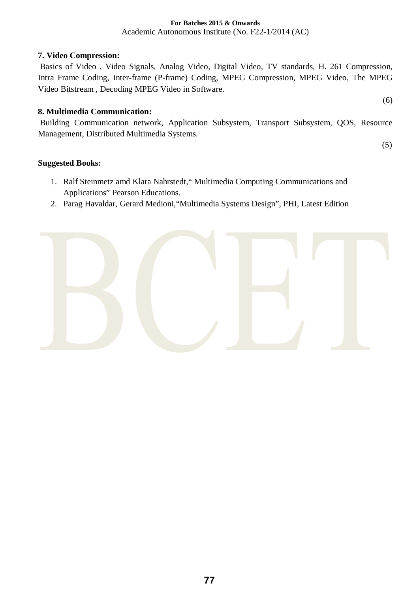# **7. Video Compression:**

Basics of Video , Video Signals, Analog Video, Digital Video, TV standards, H. 261 Compression, Intra Frame Coding, Inter-frame (P-frame) Coding, MPEG Compression, MPEG Video, The MPEG Video Bitstream , Decoding MPEG Video in Software.

## **8. Multimedia Communication:**

Building Communication network, Application Subsystem, Transport Subsystem, QOS, Resource Management, Distributed Multimedia Systems.

(5)

(6)

## **Suggested Books:**

- 1. Ralf Steinmetz amd Klara Nahrstedt," Multimedia Computing Communications and Applications" Pearson Educations.
- 2. Parag Havaldar, Gerard Medioni,"Multimedia Systems Design", PHI, Latest Edition

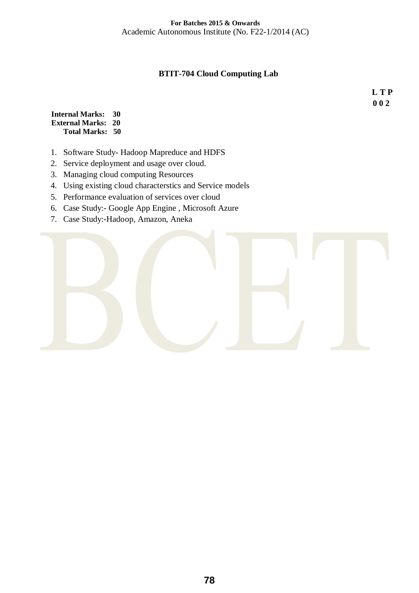# **BTIT-704 Cloud Computing Lab**

**L T P 0 0 2** 

**Internal Marks: 30 External Marks: 20 Total Marks: 50** 

- 1. Software Study- Hadoop Mapreduce and HDFS
- 2. Service deployment and usage over cloud.
- 3. Managing cloud computing Resources
- 4. Using existing cloud characterstics and Service models
- 5. Performance evaluation of services over cloud
- 6. Case Study:- Google App Engine , Microsoft Azure
- 7. Case Study:-Hadoop, Amazon, Aneka

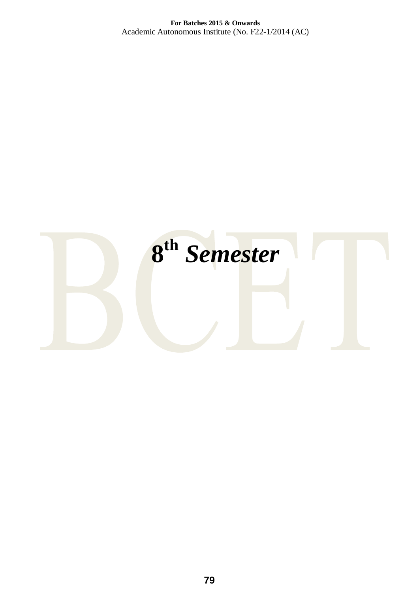